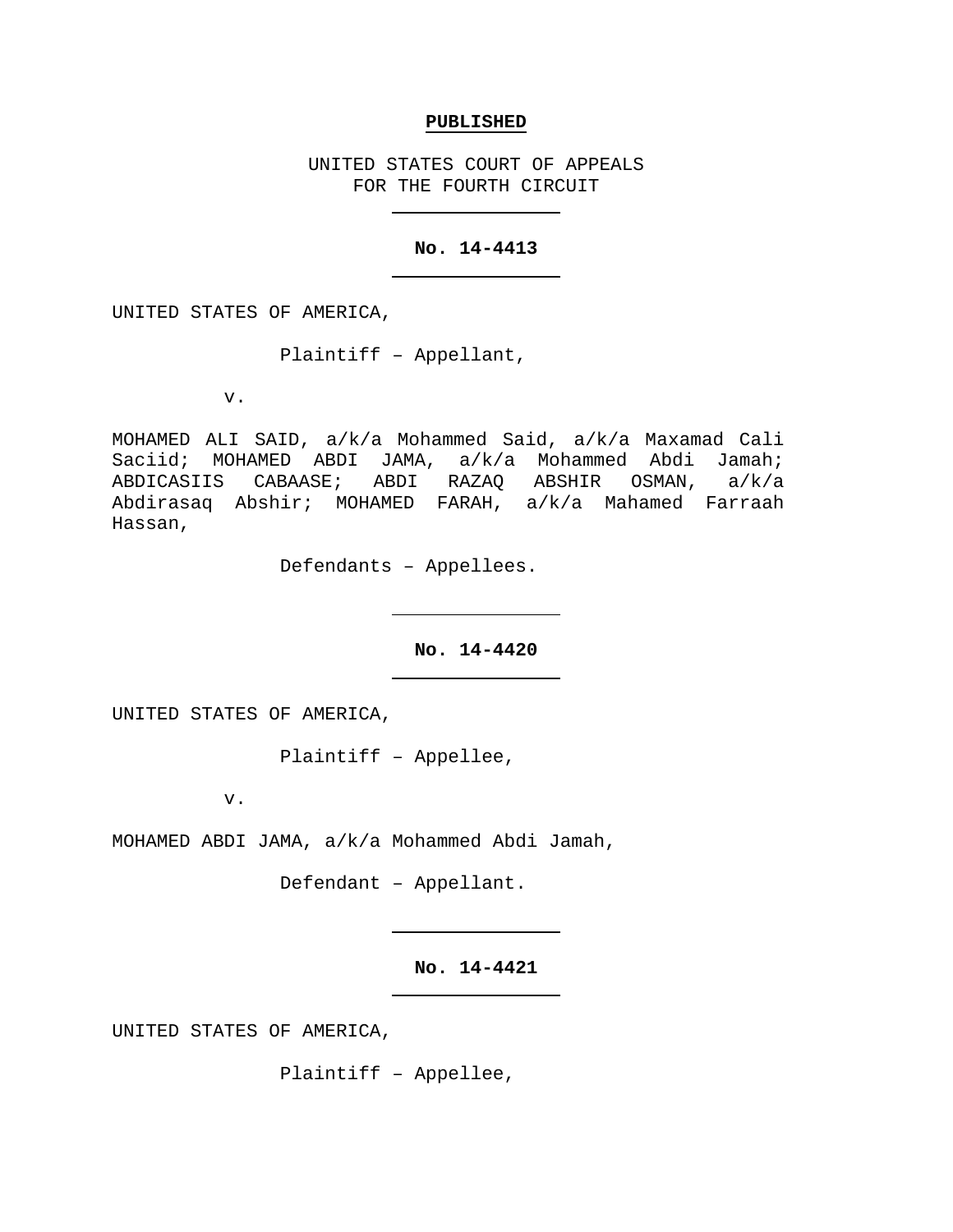### **PUBLISHED**

UNITED STATES COURT OF APPEALS FOR THE FOURTH CIRCUIT

## **No. 14-4413**

UNITED STATES OF AMERICA,

Plaintiff – Appellant,

v.

MOHAMED ALI SAID, a/k/a Mohammed Said, a/k/a Maxamad Cali Saciid; MOHAMED ABDI JAMA, a/k/a Mohammed Abdi Jamah;<br>ABDICASIIS CABAASE; ABDI RAZAQ ABSHIR OSMAN, a/k/a ABDICASIIS CABAASE; ABDI RAZAQ ABSHIR OSMAN, Abdirasaq Abshir; MOHAMED FARAH, a/k/a Mahamed Farraah Hassan,

Defendants – Appellees.

# **No. 14-4420**

UNITED STATES OF AMERICA,

Plaintiff – Appellee,

v.

MOHAMED ABDI JAMA, a/k/a Mohammed Abdi Jamah,

Defendant – Appellant.

# **No. 14-4421**

UNITED STATES OF AMERICA,

Plaintiff – Appellee,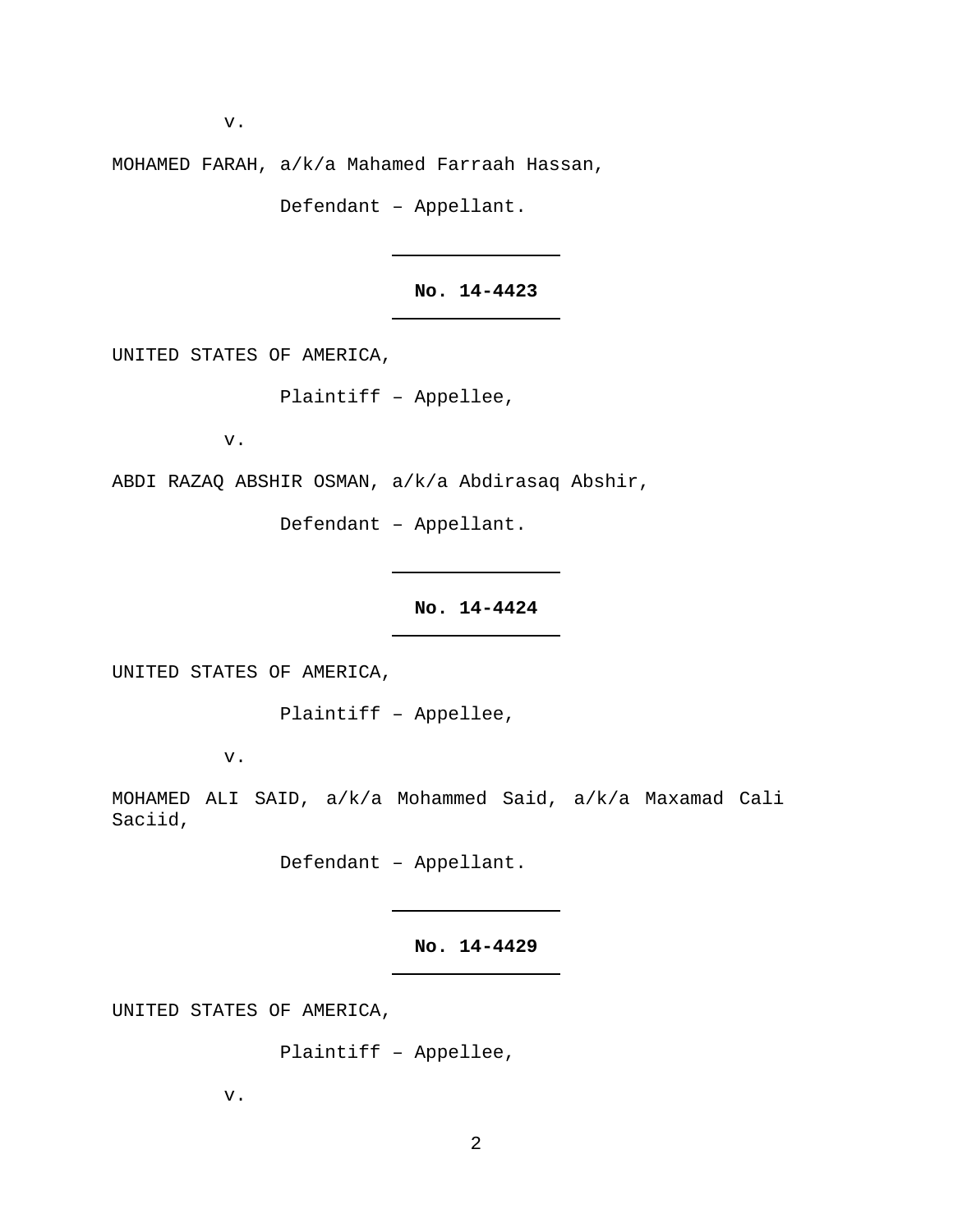v.

MOHAMED FARAH, a/k/a Mahamed Farraah Hassan,

Defendant – Appellant.

**No. 14-4423**

UNITED STATES OF AMERICA,

Plaintiff – Appellee,

v.

ABDI RAZAQ ABSHIR OSMAN, a/k/a Abdirasaq Abshir,

Defendant – Appellant.

**No. 14-4424**

UNITED STATES OF AMERICA,

Plaintiff – Appellee,

v.

MOHAMED ALI SAID, a/k/a Mohammed Said, a/k/a Maxamad Cali Saciid,

Defendant – Appellant.

**No. 14-4429**

UNITED STATES OF AMERICA,

Plaintiff – Appellee,

v.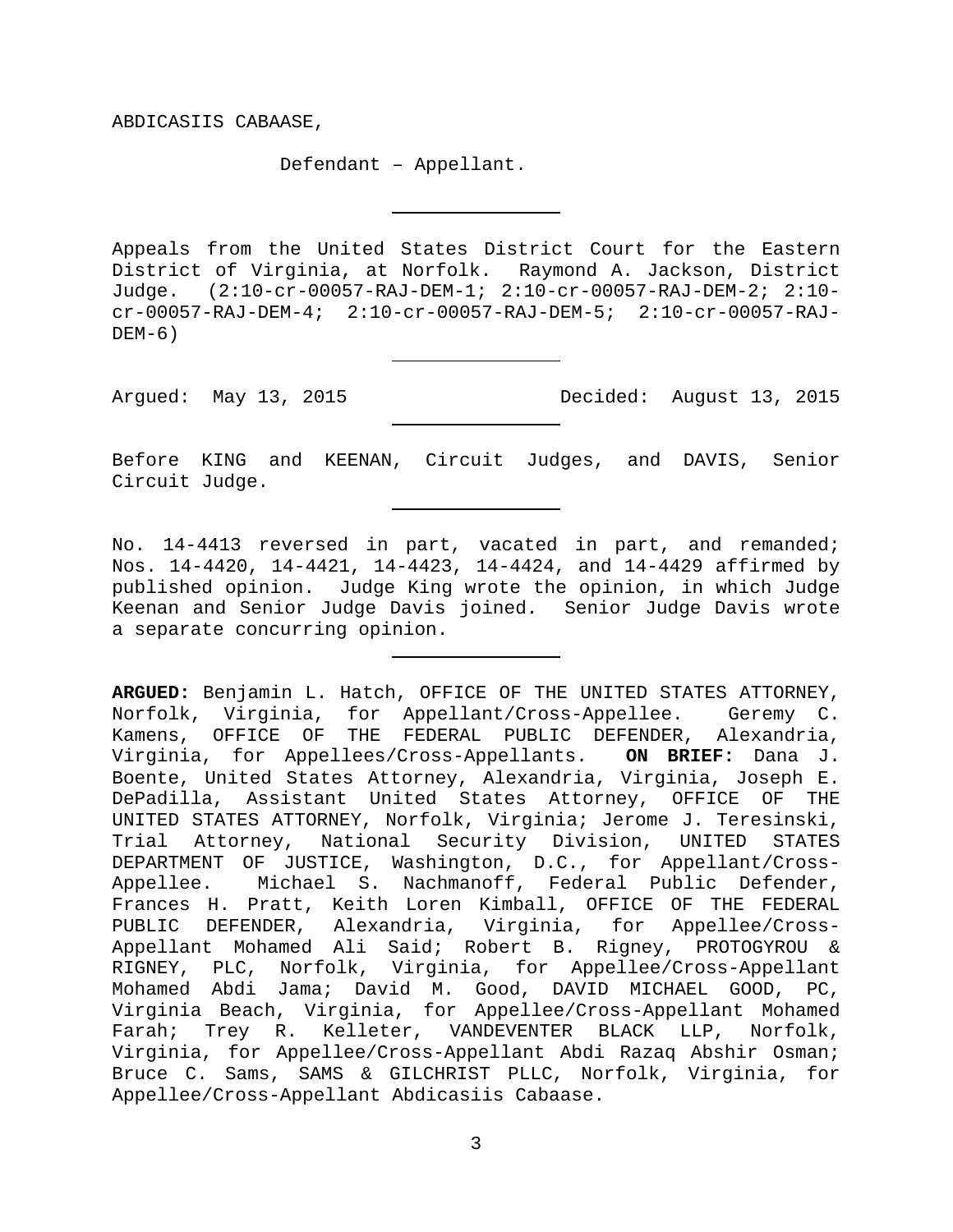ABDICASIIS CABAASE,

Defendant – Appellant.

Appeals from the United States District Court for the Eastern District of Virginia, at Norfolk. Raymond A. Jackson, District Judge. (2:10-cr-00057-RAJ-DEM-1; 2:10-cr-00057-RAJ-DEM-2; 2:10 cr-00057-RAJ-DEM-4; 2:10-cr-00057-RAJ-DEM-5; 2:10-cr-00057-RAJ- $DEM-6$ )

Argued: May 13, 2015 Decided: August 13, 2015

Before KING and KEENAN, Circuit Judges, and DAVIS, Senior Circuit Judge.

No. 14-4413 reversed in part, vacated in part, and remanded; Nos. 14-4420, 14-4421, 14-4423, 14-4424, and 14-4429 affirmed by published opinion. Judge King wrote the opinion, in which Judge Keenan and Senior Judge Davis joined. Senior Judge Davis wrote a separate concurring opinion.

**ARGUED:** Benjamin L. Hatch, OFFICE OF THE UNITED STATES ATTORNEY, Norfolk, Virginia, for Appellant/Cross-Appellee. Geremy C. Kamens, OFFICE OF THE FEDERAL PUBLIC DEFENDER, Alexandria, Virginia, for Appellees/Cross-Appellants. **ON BRIEF:** Dana J. Boente, United States Attorney, Alexandria, Virginia, Joseph E. DePadilla, Assistant United States Attorney, OFFICE OF THE UNITED STATES ATTORNEY, Norfolk, Virginia; Jerome J. Teresinski, Trial Attorney, National Security Division, UNITED STATES DEPARTMENT OF JUSTICE, Washington, D.C., for Appellant/Cross-Appellee. Michael S. Nachmanoff, Federal Public Defender, Frances H. Pratt, Keith Loren Kimball, OFFICE OF THE FEDERAL PUBLIC DEFENDER, Alexandria, Virginia, for Appellee/Cross-Appellant Mohamed Ali Said; Robert B. Rigney, PROTOGYROU & Norfolk, Virginia, for Appellee/Cross-Appellant Mohamed Abdi Jama; David M. Good, DAVID MICHAEL GOOD, PC, Virginia Beach, Virginia, for Appellee/Cross-Appellant Mohamed Farah; Trey R. Kelleter, VANDEVENTER BLACK LLP, Norfolk, Virginia, for Appellee/Cross-Appellant Abdi Razaq Abshir Osman; Bruce C. Sams, SAMS & GILCHRIST PLLC, Norfolk, Virginia, for Appellee/Cross-Appellant Abdicasiis Cabaase.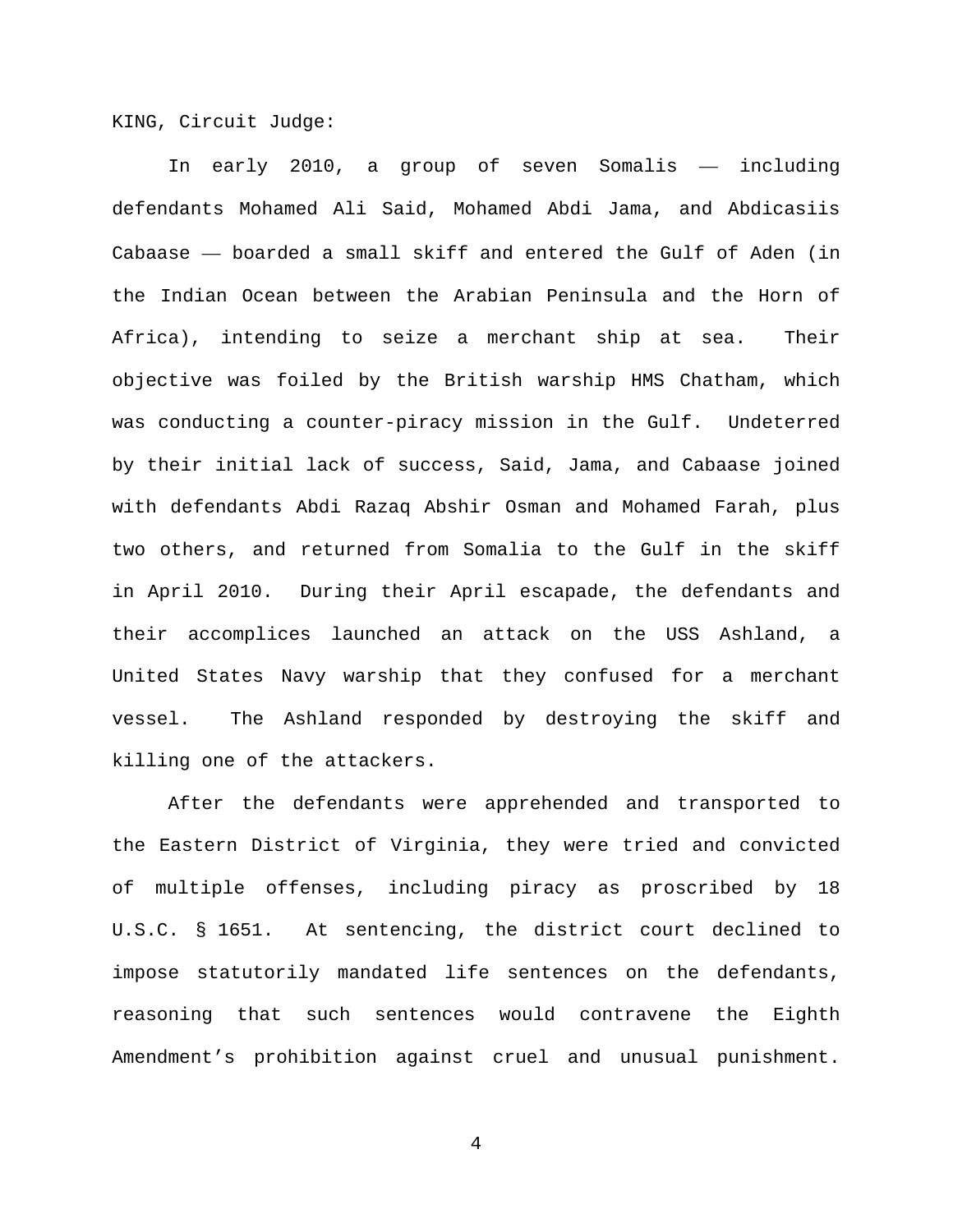KING, Circuit Judge:

In early 2010, a group of seven Somalis — including defendants Mohamed Ali Said, Mohamed Abdi Jama, and Abdicasiis Cabaase — boarded a small skiff and entered the Gulf of Aden (in the Indian Ocean between the Arabian Peninsula and the Horn of Africa), intending to seize a merchant ship at sea. Their objective was foiled by the British warship HMS Chatham, which was conducting a counter-piracy mission in the Gulf. Undeterred by their initial lack of success, Said, Jama, and Cabaase joined with defendants Abdi Razaq Abshir Osman and Mohamed Farah, plus two others, and returned from Somalia to the Gulf in the skiff in April 2010. During their April escapade, the defendants and their accomplices launched an attack on the USS Ashland, a United States Navy warship that they confused for a merchant vessel. The Ashland responded by destroying the skiff and killing one of the attackers.

After the defendants were apprehended and transported to the Eastern District of Virginia, they were tried and convicted of multiple offenses, including piracy as proscribed by 18 U.S.C. § 1651. At sentencing, the district court declined to impose statutorily mandated life sentences on the defendants, reasoning that such sentences would contravene the Eighth Amendment's prohibition against cruel and unusual punishment.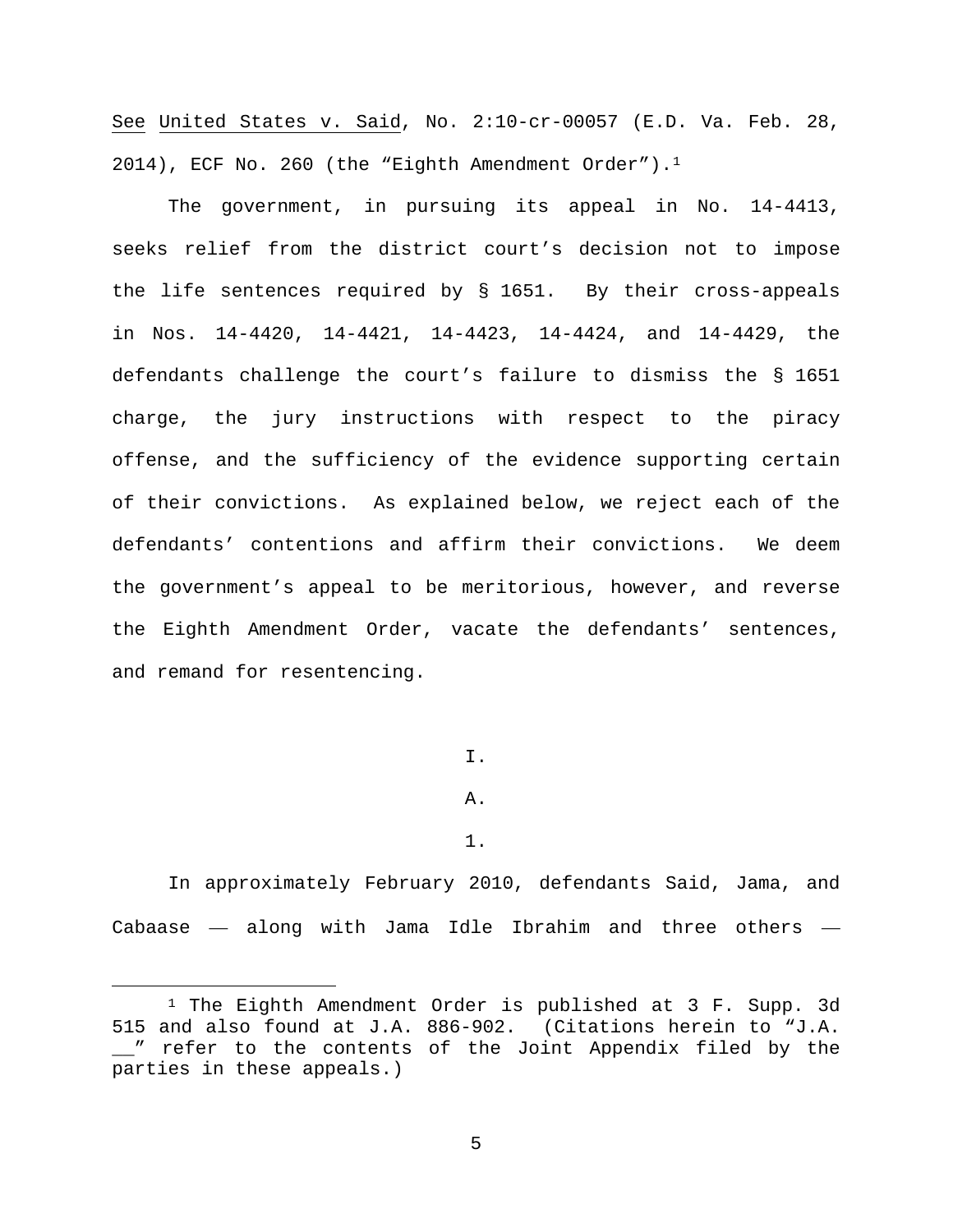See United States v. Said, No. 2:10-cr-00057 (E.D. Va. Feb. 28, 2014), ECF No. 260 (the "Eighth Amendment Order").<sup>1</sup>

The government, in pursuing its appeal in No. 14-4413, seeks relief from the district court's decision not to impose the life sentences required by § 1651. By their cross-appeals in Nos. 14-4420, 14-4421, 14-4423, 14-4424, and 14-4429, the defendants challenge the court's failure to dismiss the § 1651 charge, the jury instructions with respect to the piracy offense, and the sufficiency of the evidence supporting certain of their convictions. As explained below, we reject each of the defendants' contentions and affirm their convictions. We deem the government's appeal to be meritorious, however, and reverse the Eighth Amendment Order, vacate the defendants' sentences, and remand for resentencing.

I.

A.

1.

In approximately February 2010, defendants Said, Jama, and Cabaase — along with Jama Idle Ibrahim and three others —

<span id="page-4-0"></span> <sup>1</sup> The Eighth Amendment Order is published at 3 F. Supp. 3d 515 and also found at J.A. 886-902. (Citations herein to "J.A. \_\_" refer to the contents of the Joint Appendix filed by the parties in these appeals.)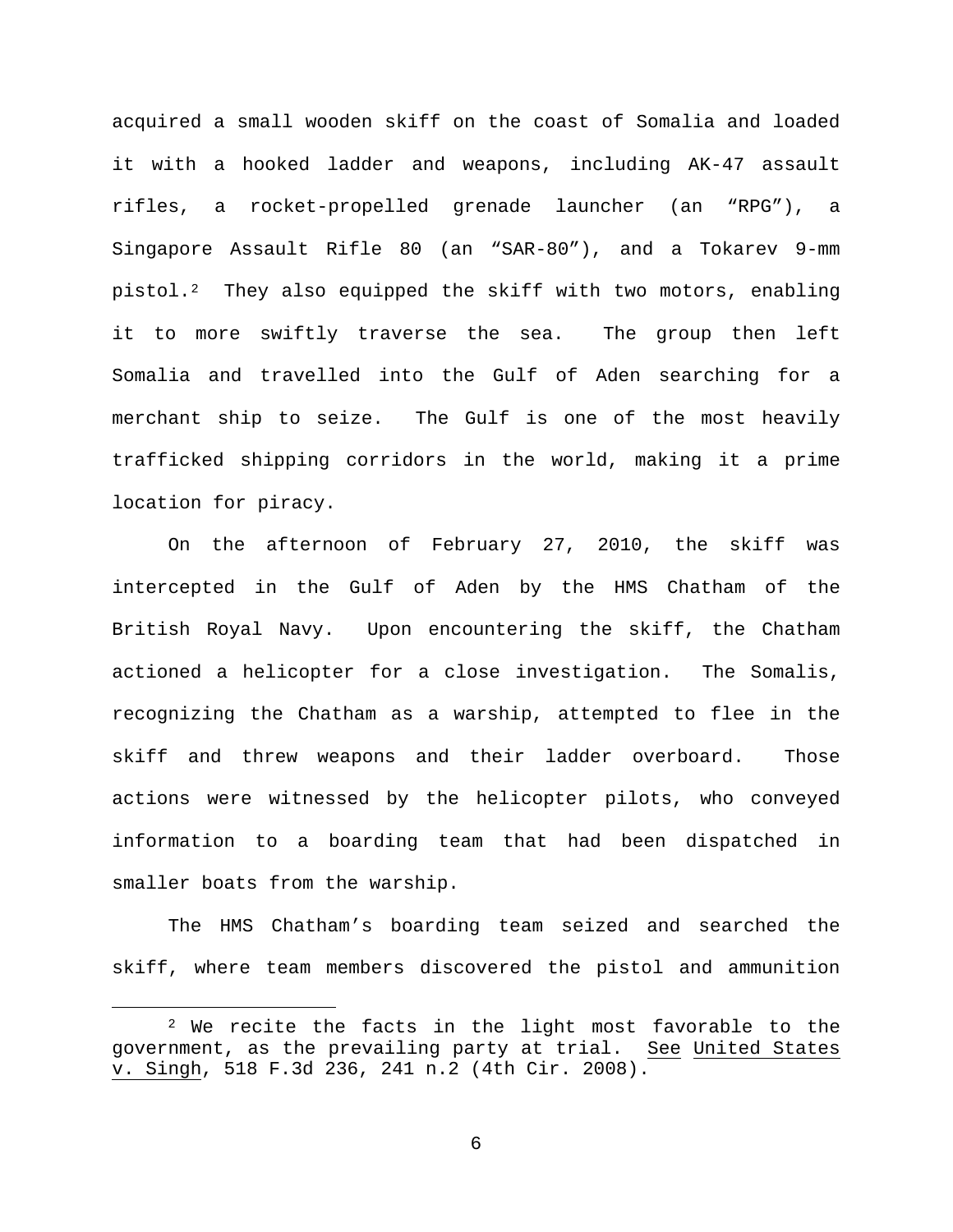acquired a small wooden skiff on the coast of Somalia and loaded it with a hooked ladder and weapons, including AK-47 assault rifles, a rocket-propelled grenade launcher (an "RPG"), a Singapore Assault Rifle 80 (an "SAR-80"), and a Tokarev 9-mm pistol.[2](#page-5-0) They also equipped the skiff with two motors, enabling it to more swiftly traverse the sea. The group then left Somalia and travelled into the Gulf of Aden searching for a merchant ship to seize. The Gulf is one of the most heavily trafficked shipping corridors in the world, making it a prime location for piracy.

On the afternoon of February 27, 2010, the skiff was intercepted in the Gulf of Aden by the HMS Chatham of the British Royal Navy. Upon encountering the skiff, the Chatham actioned a helicopter for a close investigation. The Somalis, recognizing the Chatham as a warship, attempted to flee in the skiff and threw weapons and their ladder overboard. Those actions were witnessed by the helicopter pilots, who conveyed information to a boarding team that had been dispatched in smaller boats from the warship.

The HMS Chatham's boarding team seized and searched the skiff, where team members discovered the pistol and ammunition

<span id="page-5-0"></span> <sup>2</sup> We recite the facts in the light most favorable to the government, as the prevailing party at trial. See United States v. Singh, 518 F.3d 236, 241 n.2 (4th Cir. 2008).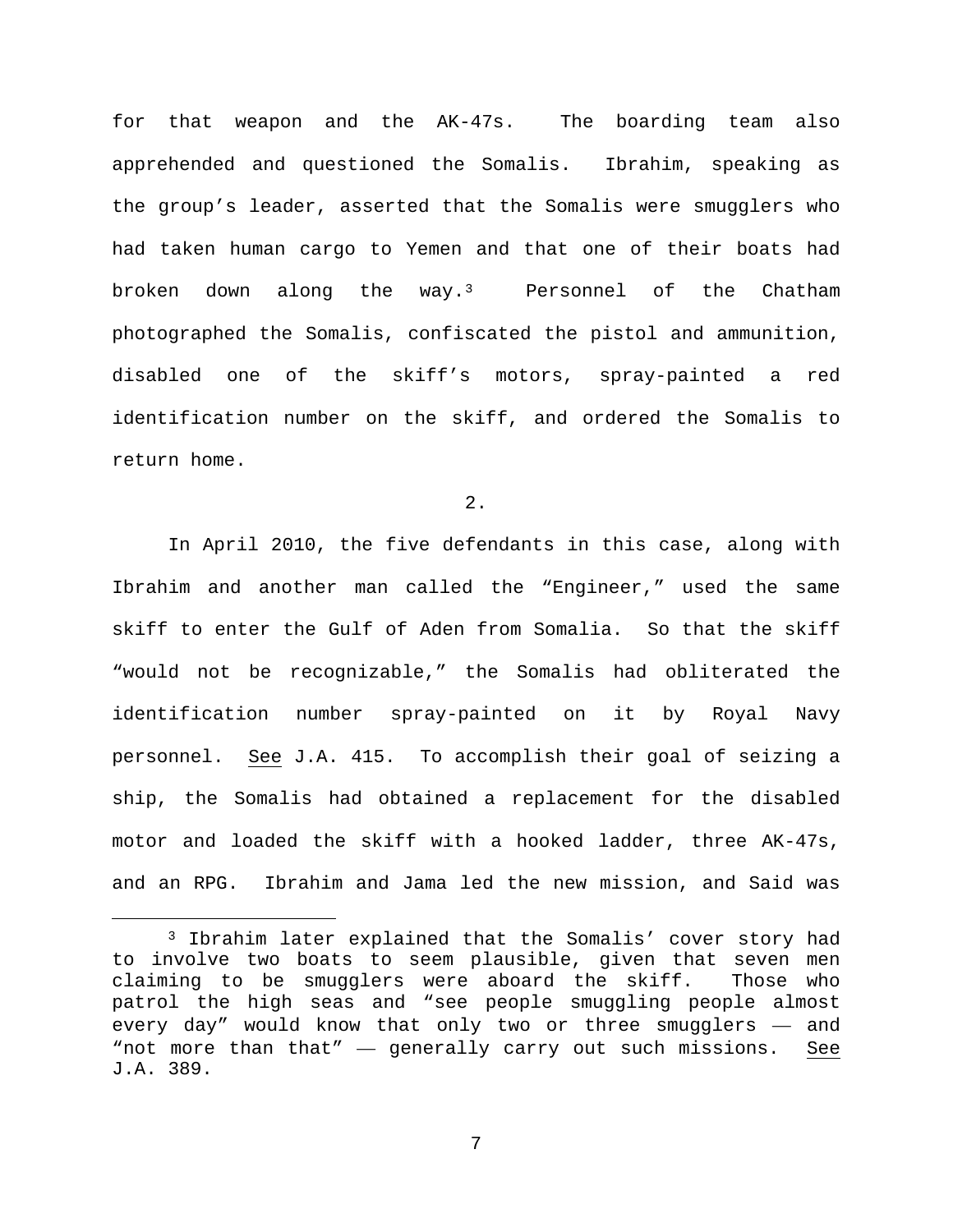for that weapon and the AK-47s. The boarding team also apprehended and questioned the Somalis. Ibrahim, speaking as the group's leader, asserted that the Somalis were smugglers who had taken human cargo to Yemen and that one of their boats had broken down along the way.[3](#page-6-0) Personnel of the Chatham photographed the Somalis, confiscated the pistol and ammunition, disabled one of the skiff's motors, spray-painted a red identification number on the skiff, and ordered the Somalis to return home.

2.

In April 2010, the five defendants in this case, along with Ibrahim and another man called the "Engineer," used the same skiff to enter the Gulf of Aden from Somalia. So that the skiff "would not be recognizable," the Somalis had obliterated the identification number spray-painted on it by Royal Navy personnel. See J.A. 415. To accomplish their goal of seizing a ship, the Somalis had obtained a replacement for the disabled motor and loaded the skiff with a hooked ladder, three AK-47s, and an RPG. Ibrahim and Jama led the new mission, and Said was

<span id="page-6-0"></span> <sup>3</sup> Ibrahim later explained that the Somalis' cover story had to involve two boats to seem plausible, given that seven men claiming to be smugglers were aboard the skiff. Those who patrol the high seas and "see people smuggling people almost every day" would know that only two or three smugglers — and "not more than that" — generally carry out such missions. See J.A. 389.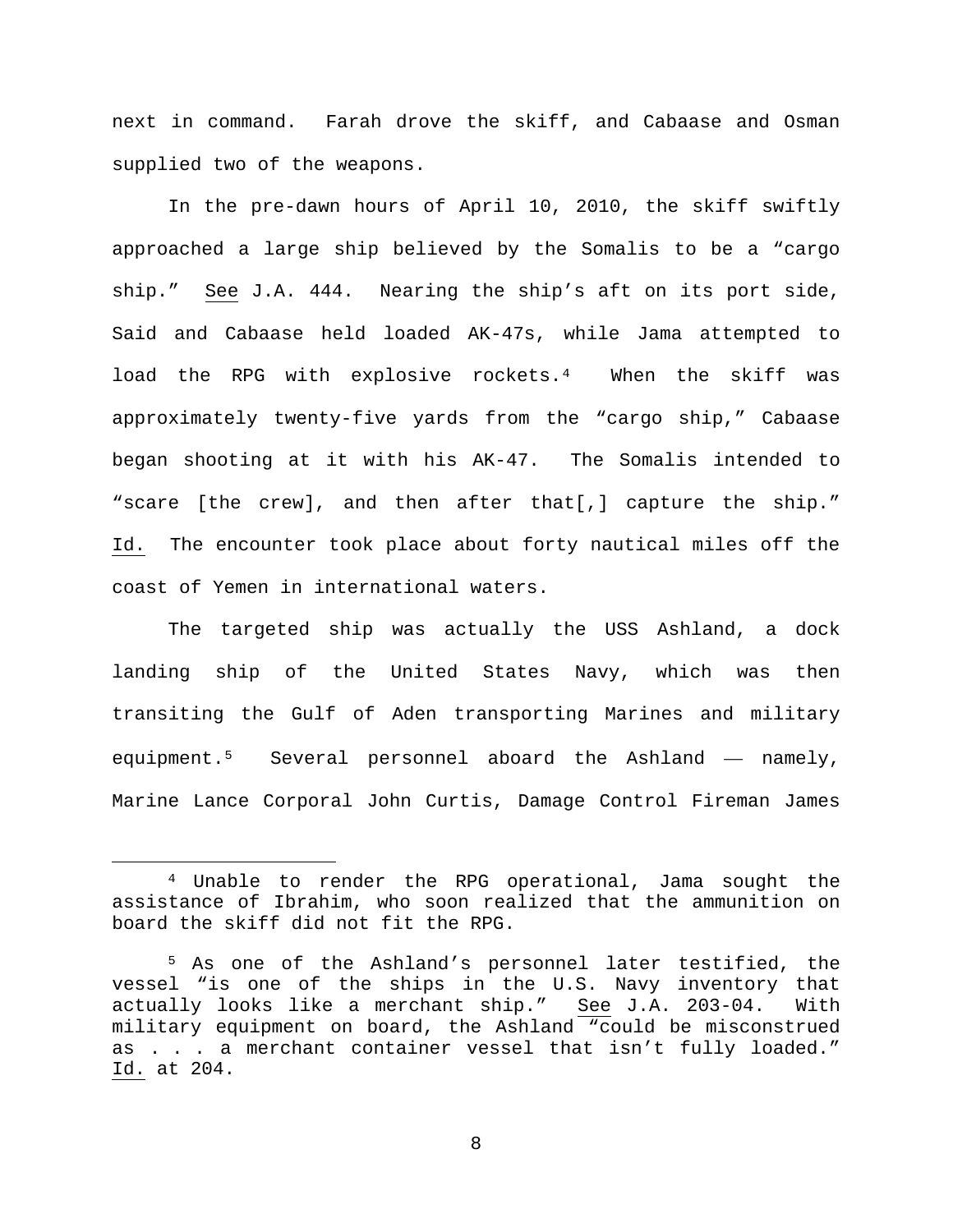next in command. Farah drove the skiff, and Cabaase and Osman supplied two of the weapons.

In the pre-dawn hours of April 10, 2010, the skiff swiftly approached a large ship believed by the Somalis to be a "cargo ship." See J.A. 444. Nearing the ship's aft on its port side, Said and Cabaase held loaded AK-47s, while Jama attempted to load the RPG with explosive rockets.[4](#page-7-0) When the skiff was approximately twenty-five yards from the "cargo ship," Cabaase began shooting at it with his AK-47. The Somalis intended to "scare [the crew], and then after that[,] capture the ship." Id. The encounter took place about forty nautical miles off the coast of Yemen in international waters.

The targeted ship was actually the USS Ashland, a dock landing ship of the United States Navy, which was then transiting the Gulf of Aden transporting Marines and military equipment[.5](#page-7-1) Several personnel aboard the Ashland — namely, Marine Lance Corporal John Curtis, Damage Control Fireman James

<span id="page-7-0"></span> <sup>4</sup> Unable to render the RPG operational, Jama sought the assistance of Ibrahim, who soon realized that the ammunition on board the skiff did not fit the RPG.

<span id="page-7-1"></span><sup>5</sup> As one of the Ashland's personnel later testified, the vessel "is one of the ships in the U.S. Navy inventory that actually looks like a merchant ship." See J.A. 203-04. With military equipment on board, the Ashland "could be misconstrued as . . . a merchant container vessel that isn't fully loaded." Id. at 204.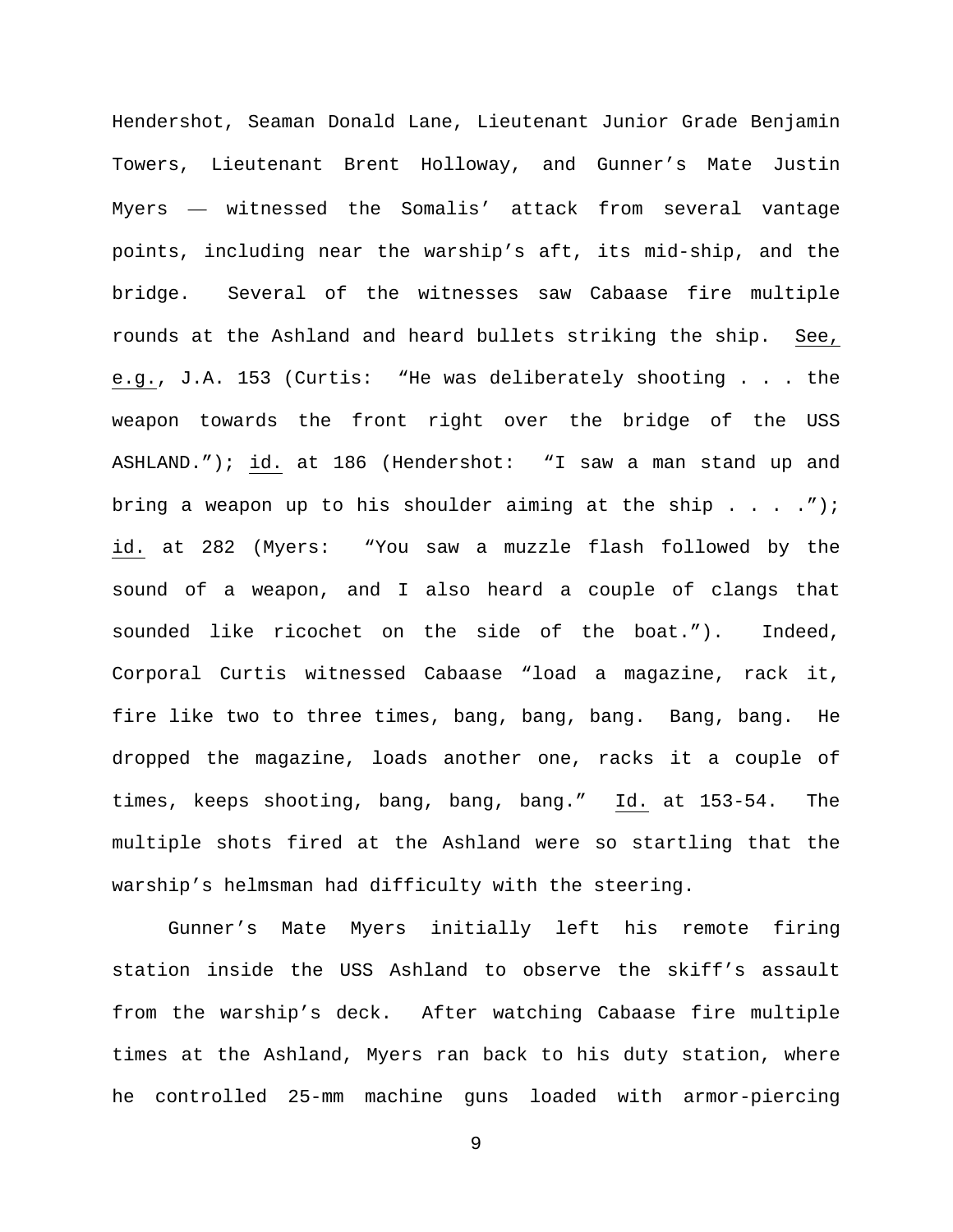Hendershot, Seaman Donald Lane, Lieutenant Junior Grade Benjamin Towers, Lieutenant Brent Holloway, and Gunner's Mate Justin Myers — witnessed the Somalis' attack from several vantage points, including near the warship's aft, its mid-ship, and the bridge. Several of the witnesses saw Cabaase fire multiple rounds at the Ashland and heard bullets striking the ship. See, e.g., J.A. 153 (Curtis: "He was deliberately shooting . . . the weapon towards the front right over the bridge of the USS ASHLAND."); id. at 186 (Hendershot: "I saw a man stand up and bring a weapon up to his shoulder aiming at the ship  $\ldots$ ."); id. at 282 (Myers: "You saw a muzzle flash followed by the sound of a weapon, and I also heard a couple of clangs that sounded like ricochet on the side of the boat."). Indeed, Corporal Curtis witnessed Cabaase "load a magazine, rack it, fire like two to three times, bang, bang, bang. Bang, bang. He dropped the magazine, loads another one, racks it a couple of times, keeps shooting, bang, bang, bang." Id. at 153-54. The multiple shots fired at the Ashland were so startling that the warship's helmsman had difficulty with the steering.

Gunner's Mate Myers initially left his remote firing station inside the USS Ashland to observe the skiff's assault from the warship's deck. After watching Cabaase fire multiple times at the Ashland, Myers ran back to his duty station, where he controlled 25-mm machine guns loaded with armor-piercing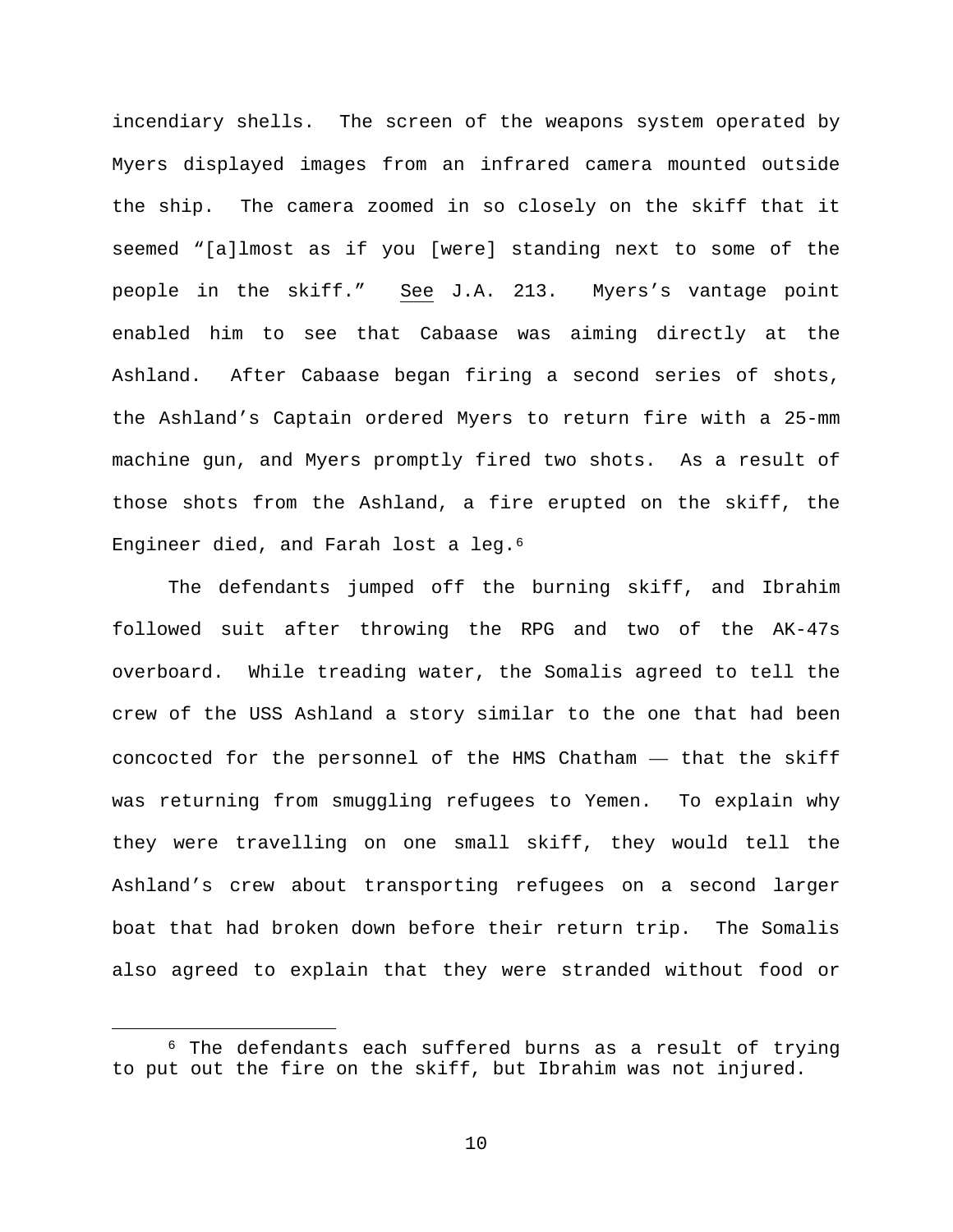incendiary shells. The screen of the weapons system operated by Myers displayed images from an infrared camera mounted outside the ship. The camera zoomed in so closely on the skiff that it seemed "[a]lmost as if you [were] standing next to some of the people in the skiff." See J.A. 213. Myers's vantage point enabled him to see that Cabaase was aiming directly at the Ashland. After Cabaase began firing a second series of shots, the Ashland's Captain ordered Myers to return fire with a 25-mm machine gun, and Myers promptly fired two shots. As a result of those shots from the Ashland, a fire erupted on the skiff, the Engineer died, and Farah lost a leg.[6](#page-9-0)

The defendants jumped off the burning skiff, and Ibrahim followed suit after throwing the RPG and two of the AK-47s overboard. While treading water, the Somalis agreed to tell the crew of the USS Ashland a story similar to the one that had been concocted for the personnel of the HMS Chatham — that the skiff was returning from smuggling refugees to Yemen. To explain why they were travelling on one small skiff, they would tell the Ashland's crew about transporting refugees on a second larger boat that had broken down before their return trip. The Somalis also agreed to explain that they were stranded without food or

<span id="page-9-0"></span> <sup>6</sup> The defendants each suffered burns as a result of trying to put out the fire on the skiff, but Ibrahim was not injured.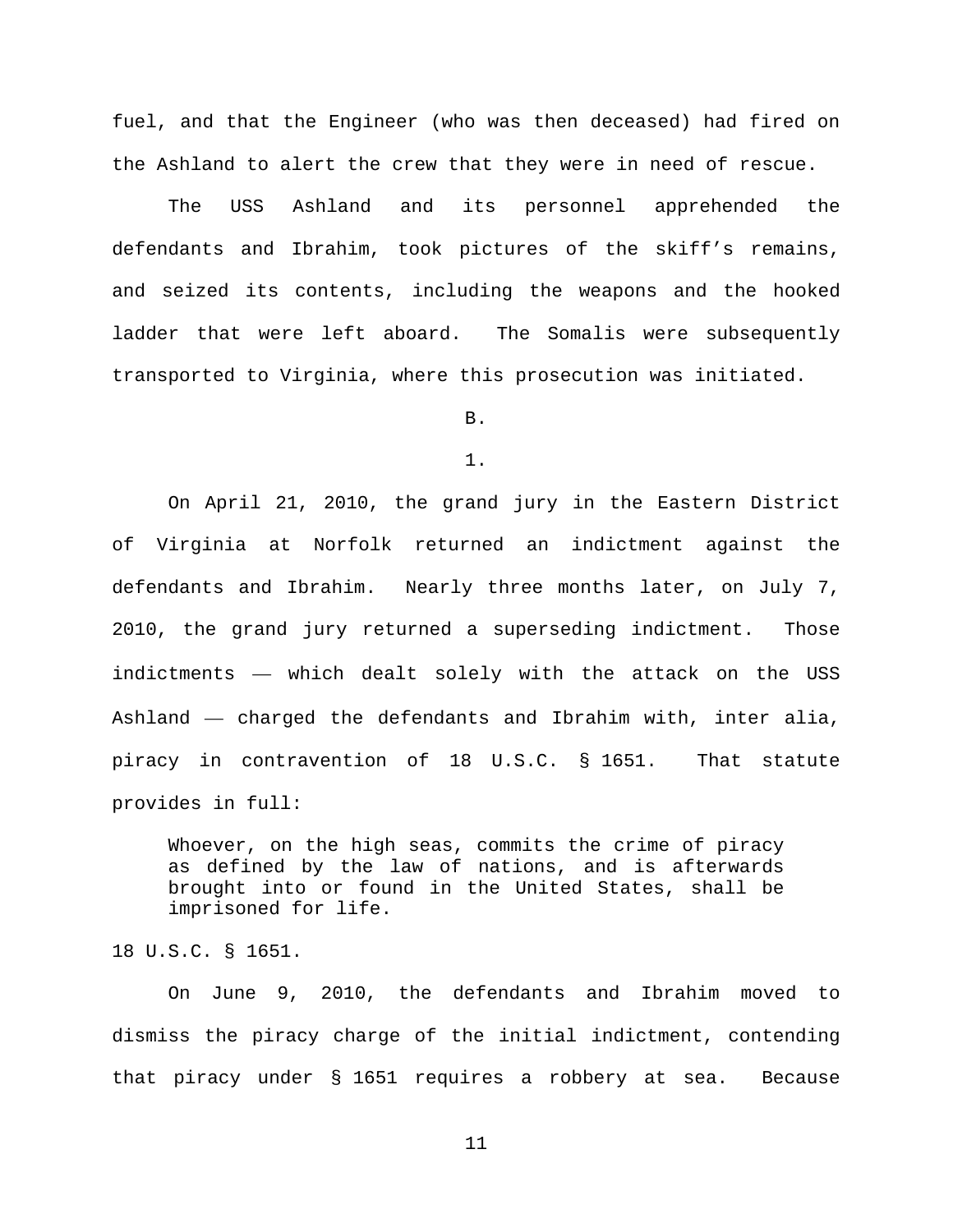fuel, and that the Engineer (who was then deceased) had fired on the Ashland to alert the crew that they were in need of rescue.

The USS Ashland and its personnel apprehended the defendants and Ibrahim, took pictures of the skiff's remains, and seized its contents, including the weapons and the hooked ladder that were left aboard. The Somalis were subsequently transported to Virginia, where this prosecution was initiated.

B.

1.

On April 21, 2010, the grand jury in the Eastern District of Virginia at Norfolk returned an indictment against the defendants and Ibrahim. Nearly three months later, on July 7, 2010, the grand jury returned a superseding indictment. Those indictments — which dealt solely with the attack on the USS Ashland — charged the defendants and Ibrahim with, inter alia, piracy in contravention of 18 U.S.C. § 1651. That statute provides in full:

Whoever, on the high seas, commits the crime of piracy as defined by the law of nations, and is afterwards brought into or found in the United States, shall be imprisoned for life.

18 U.S.C. § 1651.

On June 9, 2010, the defendants and Ibrahim moved to dismiss the piracy charge of the initial indictment, contending that piracy under § 1651 requires a robbery at sea. Because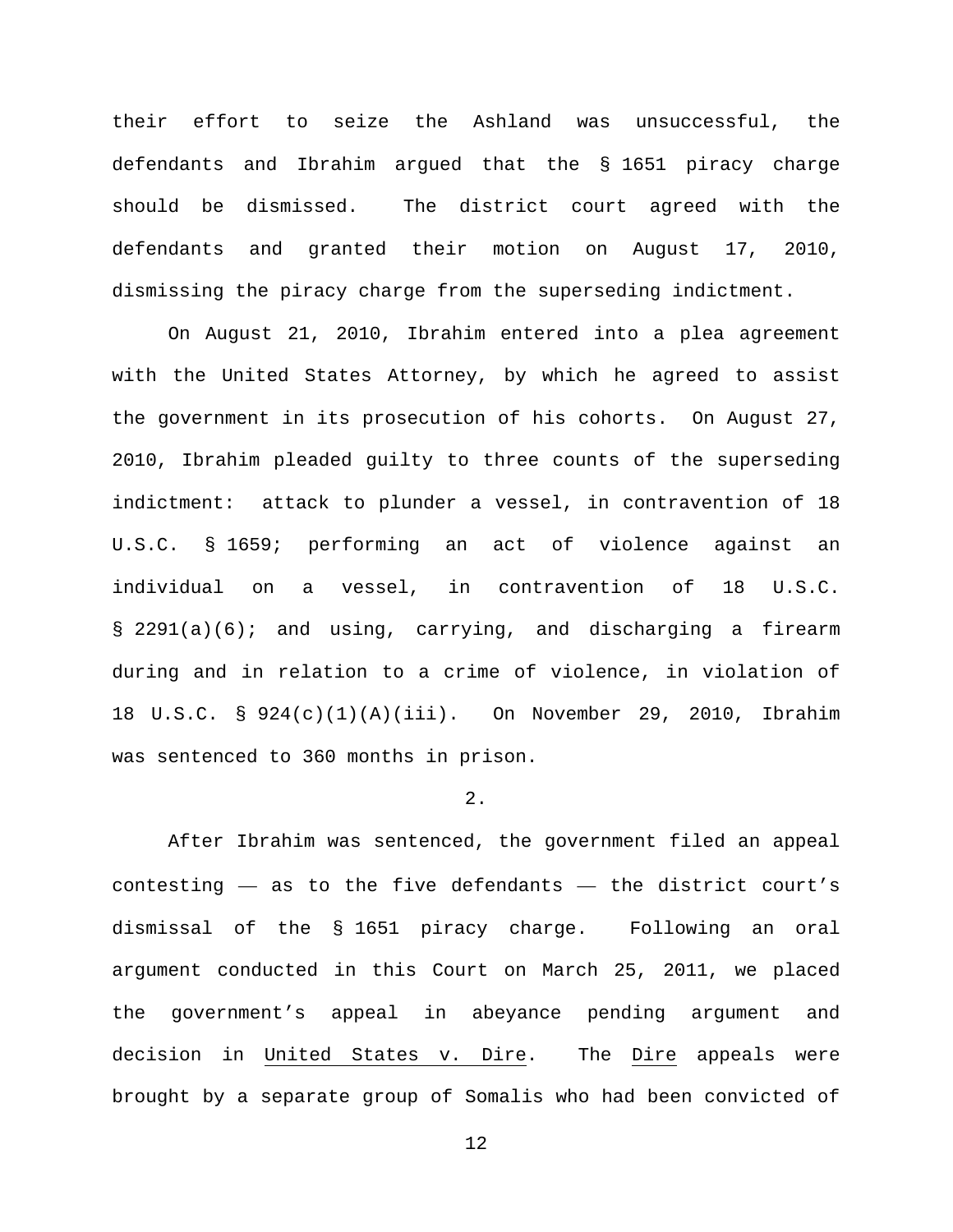their effort to seize the Ashland was unsuccessful, the defendants and Ibrahim argued that the § 1651 piracy charge should be dismissed. The district court agreed with the defendants and granted their motion on August 17, 2010, dismissing the piracy charge from the superseding indictment.

On August 21, 2010, Ibrahim entered into a plea agreement with the United States Attorney, by which he agreed to assist the government in its prosecution of his cohorts. On August 27, 2010, Ibrahim pleaded guilty to three counts of the superseding indictment: attack to plunder a vessel, in contravention of 18 U.S.C. § 1659; performing an act of violence against an individual on a vessel, in contravention of 18 U.S.C. § 2291(a)(6); and using, carrying, and discharging a firearm during and in relation to a crime of violence, in violation of 18 U.S.C. § 924(c)(1)(A)(iii). On November 29, 2010, Ibrahim was sentenced to 360 months in prison.

## 2.

After Ibrahim was sentenced, the government filed an appeal contesting — as to the five defendants — the district court's dismissal of the § 1651 piracy charge. Following an oral argument conducted in this Court on March 25, 2011, we placed the government's appeal in abeyance pending argument and decision in United States v. Dire. The Dire appeals were brought by a separate group of Somalis who had been convicted of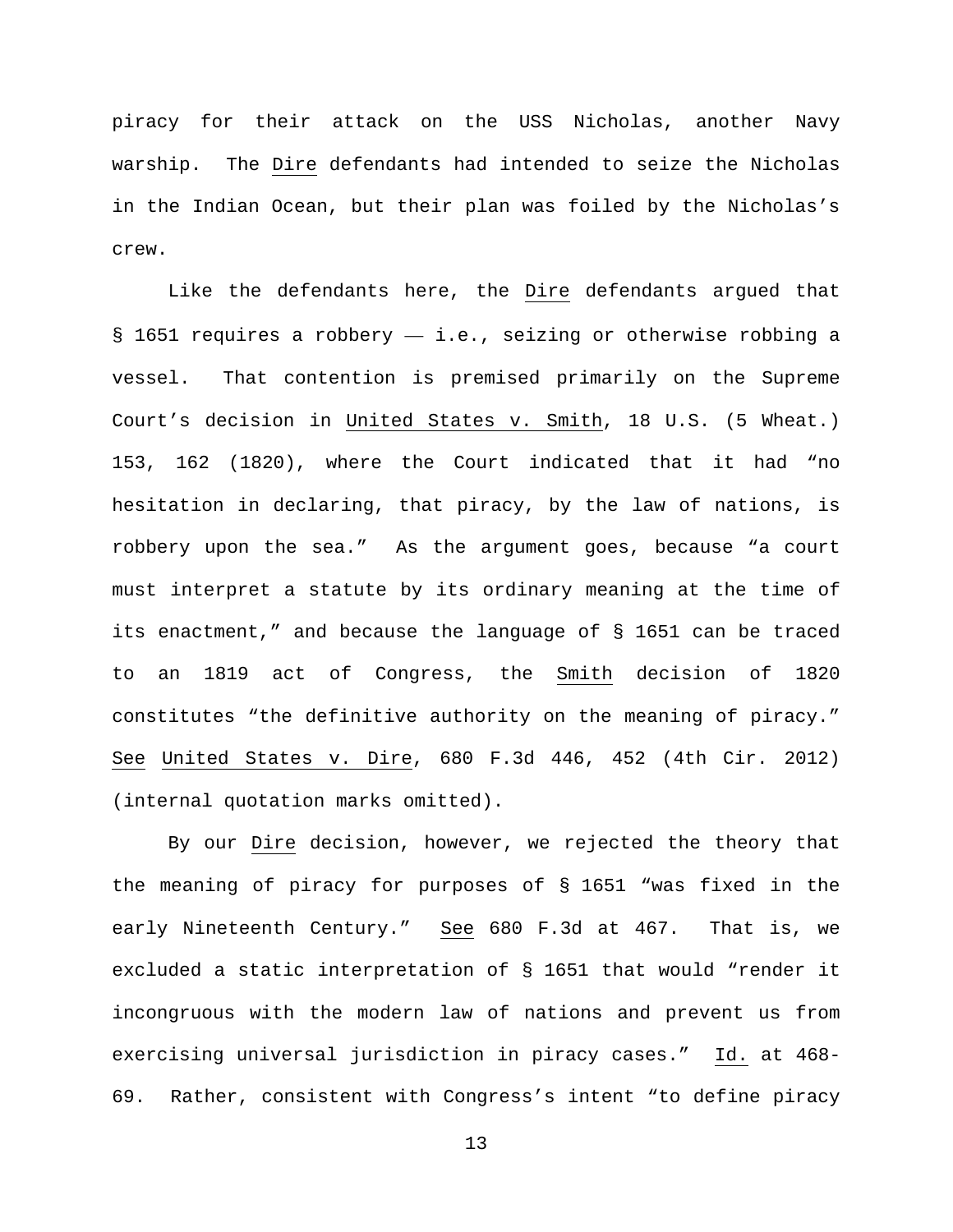piracy for their attack on the USS Nicholas, another Navy warship. The Dire defendants had intended to seize the Nicholas in the Indian Ocean, but their plan was foiled by the Nicholas's crew.

Like the defendants here, the Dire defendants argued that § 1651 requires a robbery — i.e., seizing or otherwise robbing a vessel. That contention is premised primarily on the Supreme Court's decision in United States v. Smith, 18 U.S. (5 Wheat.) 153, 162 (1820), where the Court indicated that it had "no hesitation in declaring, that piracy, by the law of nations, is robbery upon the sea." As the argument goes, because "a court must interpret a statute by its ordinary meaning at the time of its enactment," and because the language of § 1651 can be traced to an 1819 act of Congress, the Smith decision of 1820 constitutes "the definitive authority on the meaning of piracy." See United States v. Dire, 680 F.3d 446, 452 (4th Cir. 2012) (internal quotation marks omitted).

By our Dire decision, however, we rejected the theory that the meaning of piracy for purposes of § 1651 "was fixed in the early Nineteenth Century." See 680 F.3d at 467. That is, we excluded a static interpretation of § 1651 that would "render it incongruous with the modern law of nations and prevent us from exercising universal jurisdiction in piracy cases." Id. at 468- 69. Rather, consistent with Congress's intent "to define piracy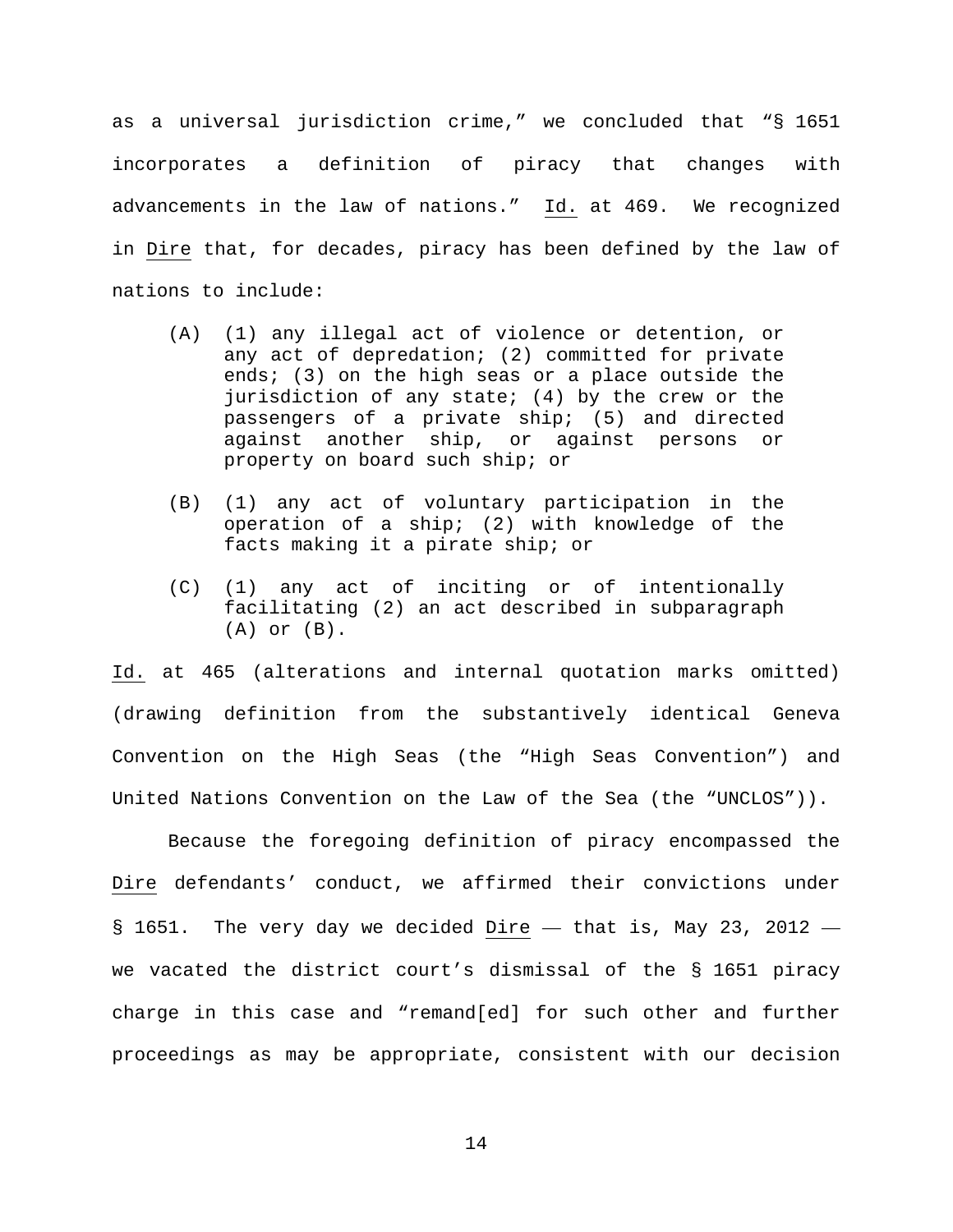as a universal jurisdiction crime," we concluded that "§ 1651 incorporates a definition of piracy that changes with advancements in the law of nations." Id. at 469. We recognized in Dire that, for decades, piracy has been defined by the law of nations to include:

- (A) (1) any illegal act of violence or detention, or any act of depredation; (2) committed for private ends; (3) on the high seas or a place outside the jurisdiction of any state; (4) by the crew or the passengers of a private ship; (5) and directed against another ship, or against persons or property on board such ship; or
- (B) (1) any act of voluntary participation in the operation of a ship; (2) with knowledge of the facts making it a pirate ship; or
- (C) (1) any act of inciting or of intentionally facilitating (2) an act described in subparagraph (A) or (B).

Id. at 465 (alterations and internal quotation marks omitted) (drawing definition from the substantively identical Geneva Convention on the High Seas (the "High Seas Convention") and United Nations Convention on the Law of the Sea (the "UNCLOS")).

Because the foregoing definition of piracy encompassed the Dire defendants' conduct, we affirmed their convictions under  $\S$  1651. The very day we decided Dire  $-$  that is, May 23, 2012  $$ we vacated the district court's dismissal of the § 1651 piracy charge in this case and "remand[ed] for such other and further proceedings as may be appropriate, consistent with our decision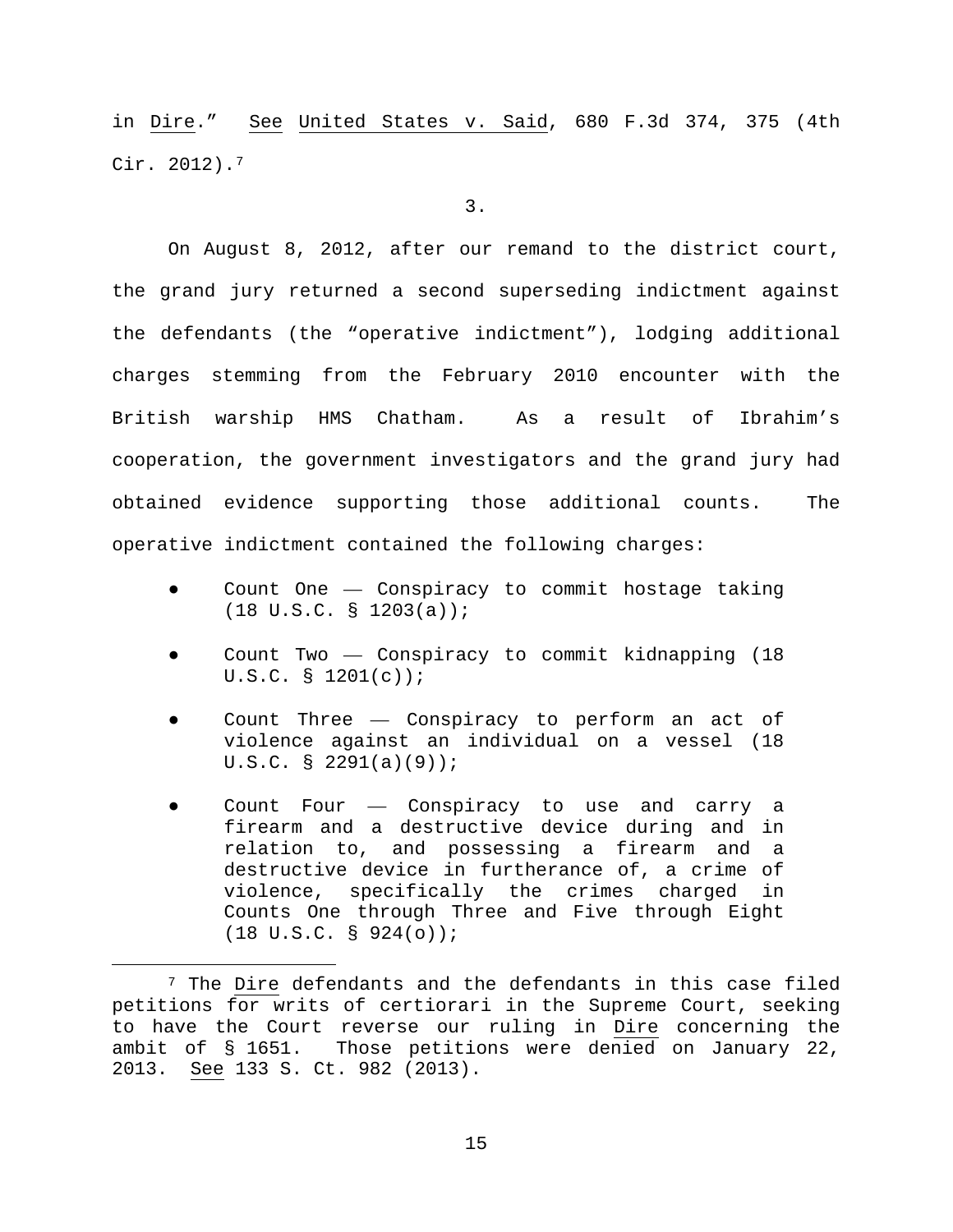in Dire." See United States v. Said, 680 F.3d 374, 375 (4th Cir. 2012).[7](#page-14-0)

3.

On August 8, 2012, after our remand to the district court, the grand jury returned a second superseding indictment against the defendants (the "operative indictment"), lodging additional charges stemming from the February 2010 encounter with the British warship HMS Chatham. As a result of Ibrahim's cooperation, the government investigators and the grand jury had obtained evidence supporting those additional counts. The operative indictment contained the following charges:

- Count One Conspiracy to commit hostage taking (18 U.S.C. § 1203(a));
- Count Two  $-$  Conspiracy to commit kidnapping (18) U.S.C. § 1201(c));
- Count Three Conspiracy to perform an act of violence against an individual on a vessel (18 U.S.C. § 2291(a)(9));
- Count Four Conspiracy to use and carry a firearm and a destructive device during and in relation to, and possessing a firearm and a destructive device in furtherance of, a crime of violence, specifically the crimes charged in Counts One through Three and Five through Eight (18 U.S.C. § 924(o));

<span id="page-14-0"></span> <sup>7</sup> The Dire defendants and the defendants in this case filed petitions for writs of certiorari in the Supreme Court, seeking to have the Court reverse our ruling in Dire concerning the ambit of § 1651. Those petitions were denied on January 22, 2013. See 133 S. Ct. 982 (2013).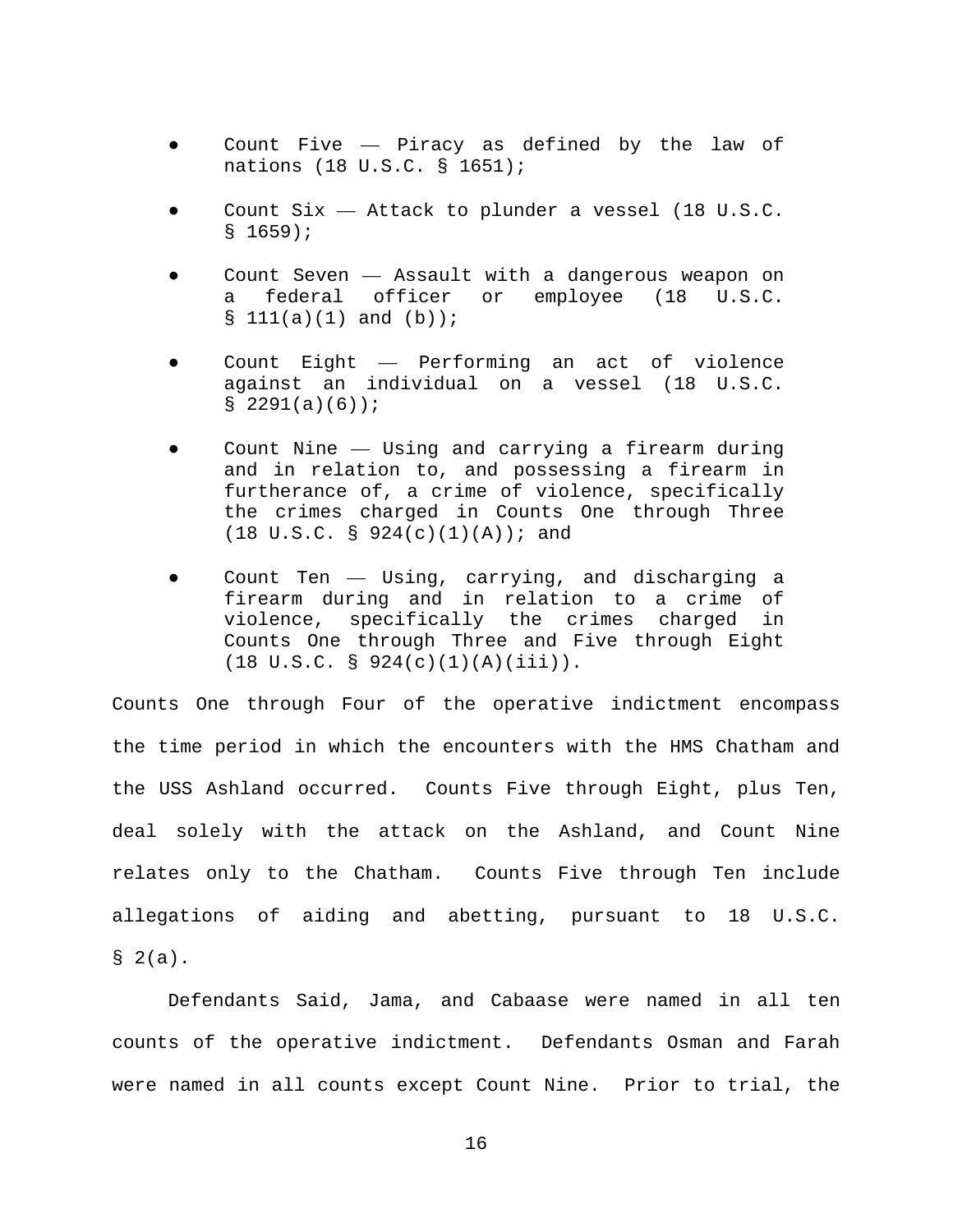- Count Five  $-$  Piracy as defined by the law of nations (18 U.S.C. § 1651);
- Count Six Attack to plunder a vessel (18 U.S.C. § 1659);
- Count Seven  $-$  Assault with a dangerous weapon on a federal officer or employee (18 U.S.C.  $$111(a)(1)$  and  $(b)$ ;
- Count Eight Performing an act of violence against an individual on a vessel (18 U.S.C. § 2291(a)(6));
- Count Nine  $-$  Using and carrying a firearm during and in relation to, and possessing a firearm in furtherance of, a crime of violence, specifically the crimes charged in Counts One through Three  $(18 \text{ U.S.C. } § 924(c)(1)(A)); and$
- Count Ten Using, carrying, and discharging a firearm during and in relation to a crime of violence, specifically the crimes charged in Counts One through Three and Five through Eight  $(18 \text{ U.S.C. } § 924(c)(1)(A)(iii)).$

Counts One through Four of the operative indictment encompass the time period in which the encounters with the HMS Chatham and the USS Ashland occurred. Counts Five through Eight, plus Ten, deal solely with the attack on the Ashland, and Count Nine relates only to the Chatham. Counts Five through Ten include allegations of aiding and abetting, pursuant to 18 U.S.C.  $§ 2(a).$ 

Defendants Said, Jama, and Cabaase were named in all ten counts of the operative indictment. Defendants Osman and Farah were named in all counts except Count Nine. Prior to trial, the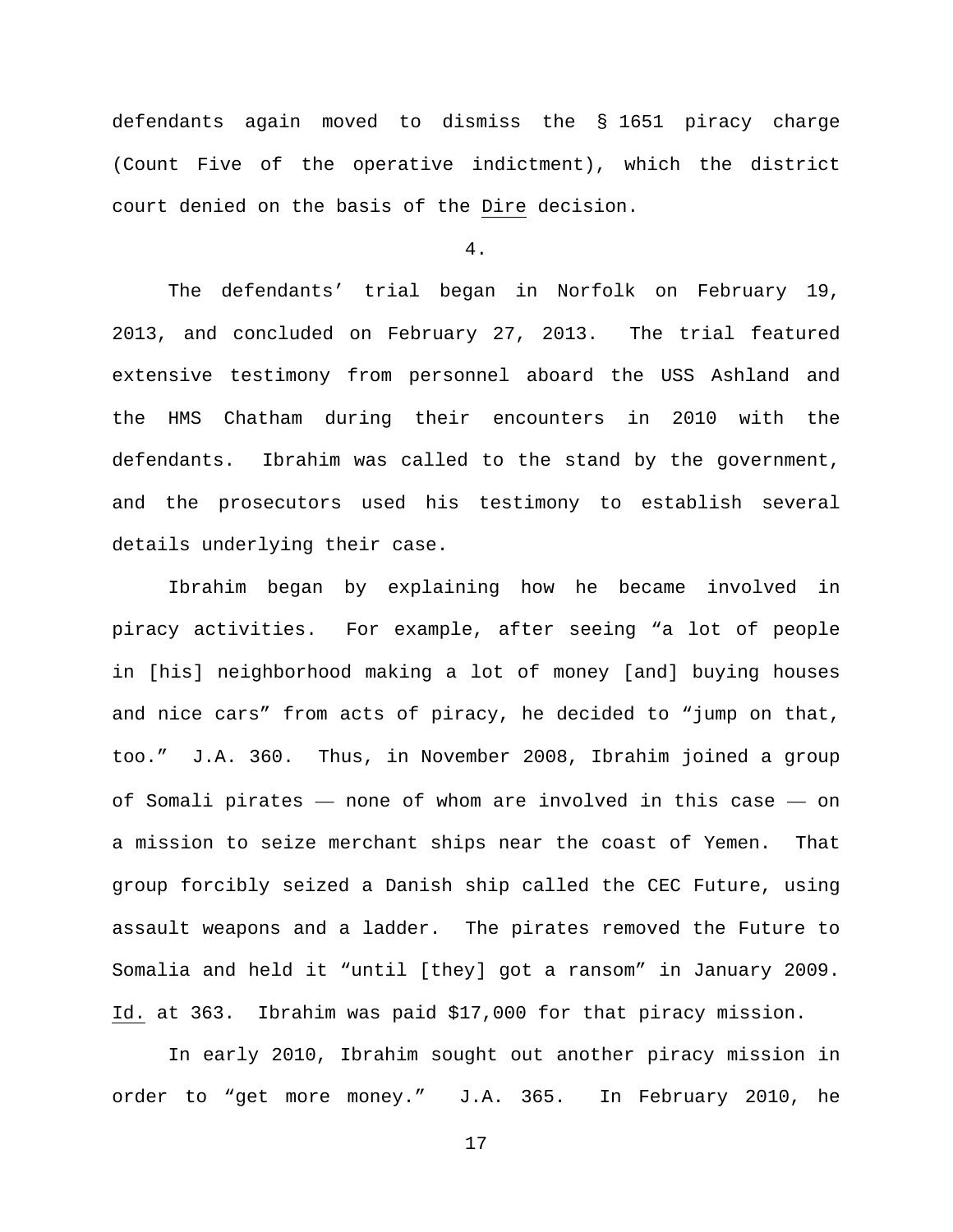defendants again moved to dismiss the § 1651 piracy charge (Count Five of the operative indictment), which the district court denied on the basis of the Dire decision.

4.

The defendants' trial began in Norfolk on February 19, 2013, and concluded on February 27, 2013. The trial featured extensive testimony from personnel aboard the USS Ashland and the HMS Chatham during their encounters in 2010 with the defendants. Ibrahim was called to the stand by the government, and the prosecutors used his testimony to establish several details underlying their case.

Ibrahim began by explaining how he became involved in piracy activities. For example, after seeing "a lot of people in [his] neighborhood making a lot of money [and] buying houses and nice cars" from acts of piracy, he decided to "jump on that, too." J.A. 360. Thus, in November 2008, Ibrahim joined a group of Somali pirates — none of whom are involved in this case — on a mission to seize merchant ships near the coast of Yemen. That group forcibly seized a Danish ship called the CEC Future, using assault weapons and a ladder. The pirates removed the Future to Somalia and held it "until [they] got a ransom" in January 2009. Id. at 363. Ibrahim was paid \$17,000 for that piracy mission.

In early 2010, Ibrahim sought out another piracy mission in order to "get more money." J.A. 365. In February 2010, he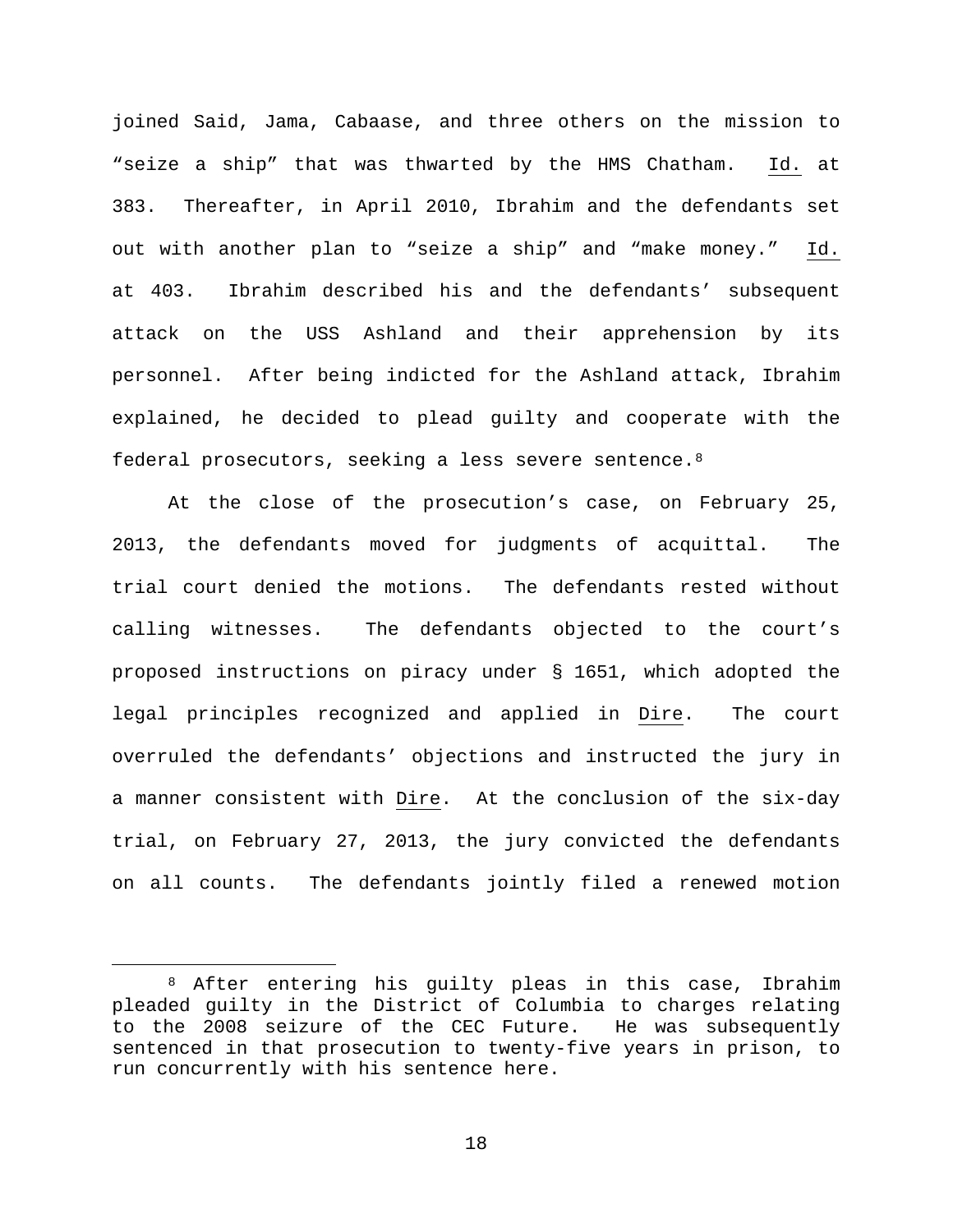joined Said, Jama, Cabaase, and three others on the mission to "seize a ship" that was thwarted by the HMS Chatham. Id. at 383. Thereafter, in April 2010, Ibrahim and the defendants set out with another plan to "seize a ship" and "make money." Id. at 403. Ibrahim described his and the defendants' subsequent attack on the USS Ashland and their apprehension by its personnel. After being indicted for the Ashland attack, Ibrahim explained, he decided to plead guilty and cooperate with the federal prosecutors, seeking a less severe sentence.[8](#page-17-0)

At the close of the prosecution's case, on February 25, 2013, the defendants moved for judgments of acquittal. The trial court denied the motions. The defendants rested without calling witnesses. The defendants objected to the court's proposed instructions on piracy under § 1651, which adopted the legal principles recognized and applied in Dire. The court overruled the defendants' objections and instructed the jury in a manner consistent with Dire. At the conclusion of the six-day trial, on February 27, 2013, the jury convicted the defendants on all counts. The defendants jointly filed a renewed motion

<span id="page-17-0"></span> <sup>8</sup> After entering his guilty pleas in this case, Ibrahim pleaded guilty in the District of Columbia to charges relating to the 2008 seizure of the CEC Future. He was subsequently sentenced in that prosecution to twenty-five years in prison, to run concurrently with his sentence here.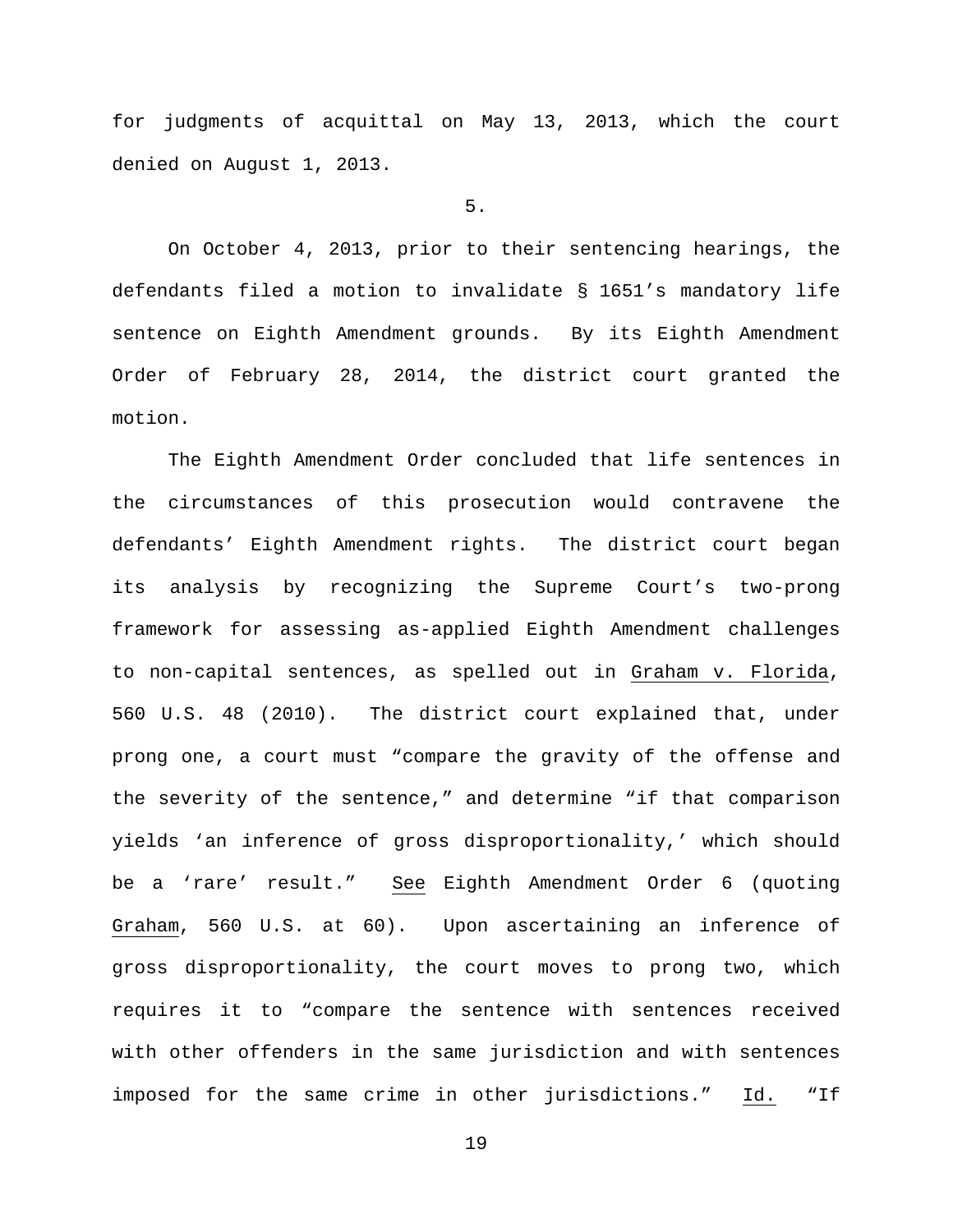for judgments of acquittal on May 13, 2013, which the court denied on August 1, 2013.

## 5.

On October 4, 2013, prior to their sentencing hearings, the defendants filed a motion to invalidate § 1651's mandatory life sentence on Eighth Amendment grounds. By its Eighth Amendment Order of February 28, 2014, the district court granted the motion.

The Eighth Amendment Order concluded that life sentences in the circumstances of this prosecution would contravene the defendants' Eighth Amendment rights. The district court began its analysis by recognizing the Supreme Court's two-prong framework for assessing as-applied Eighth Amendment challenges to non-capital sentences, as spelled out in Graham v. Florida, 560 U.S. 48 (2010). The district court explained that, under prong one, a court must "compare the gravity of the offense and the severity of the sentence," and determine "if that comparison yields 'an inference of gross disproportionality,' which should be a 'rare' result." See Eighth Amendment Order 6 (quoting Graham, 560 U.S. at 60). Upon ascertaining an inference of gross disproportionality, the court moves to prong two, which requires it to "compare the sentence with sentences received with other offenders in the same jurisdiction and with sentences imposed for the same crime in other jurisdictions." Id. "If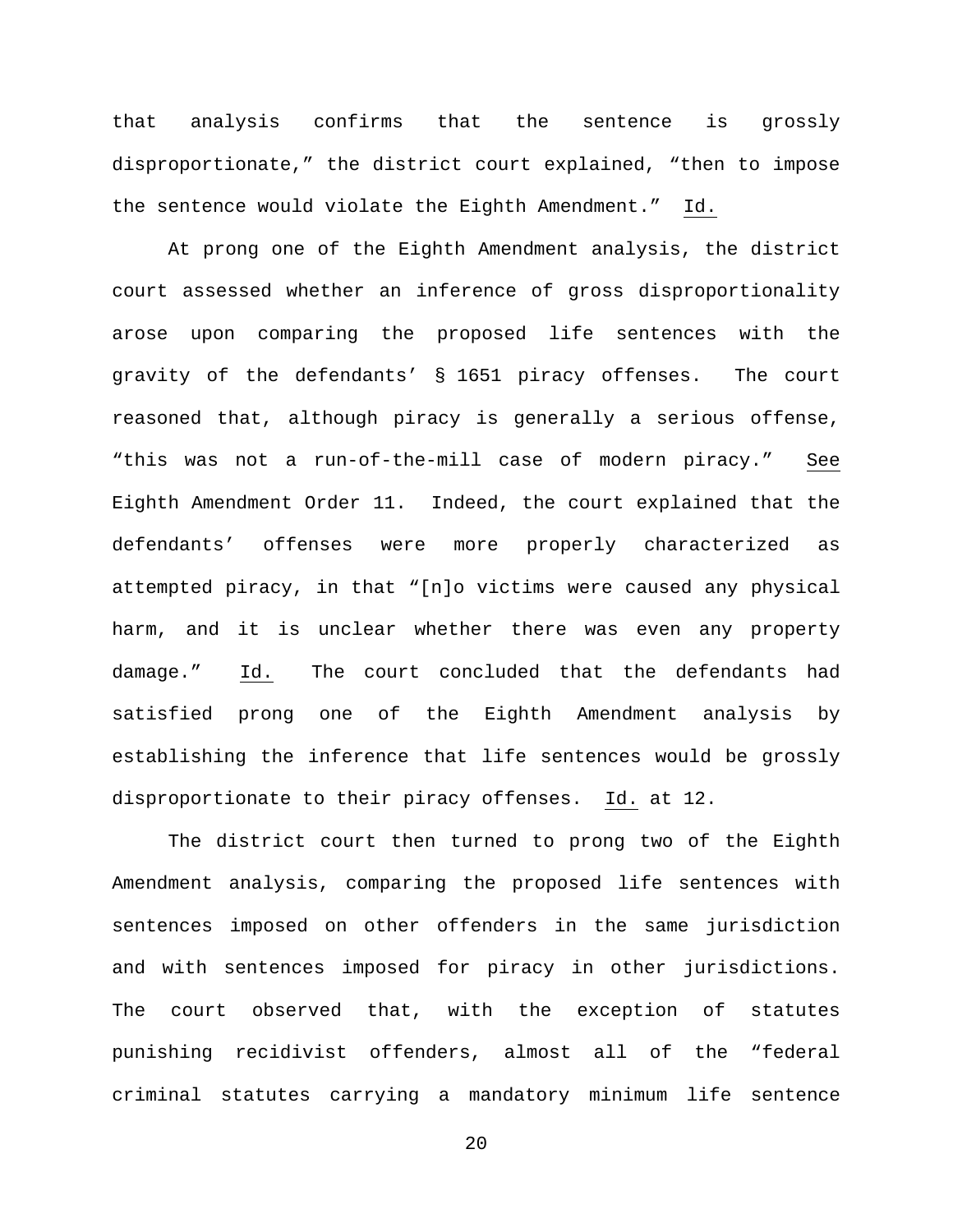that analysis confirms that the sentence is grossly disproportionate," the district court explained, "then to impose the sentence would violate the Eighth Amendment." Id.

At prong one of the Eighth Amendment analysis, the district court assessed whether an inference of gross disproportionality arose upon comparing the proposed life sentences with the gravity of the defendants' § 1651 piracy offenses. The court reasoned that, although piracy is generally a serious offense, "this was not a run-of-the-mill case of modern piracy." See Eighth Amendment Order 11. Indeed, the court explained that the defendants' offenses were more properly characterized as attempted piracy, in that "[n]o victims were caused any physical harm, and it is unclear whether there was even any property damage." Id. The court concluded that the defendants had satisfied prong one of the Eighth Amendment analysis by establishing the inference that life sentences would be grossly disproportionate to their piracy offenses. Id. at 12.

The district court then turned to prong two of the Eighth Amendment analysis, comparing the proposed life sentences with sentences imposed on other offenders in the same jurisdiction and with sentences imposed for piracy in other jurisdictions. The court observed that, with the exception of statutes punishing recidivist offenders, almost all of the "federal criminal statutes carrying a mandatory minimum life sentence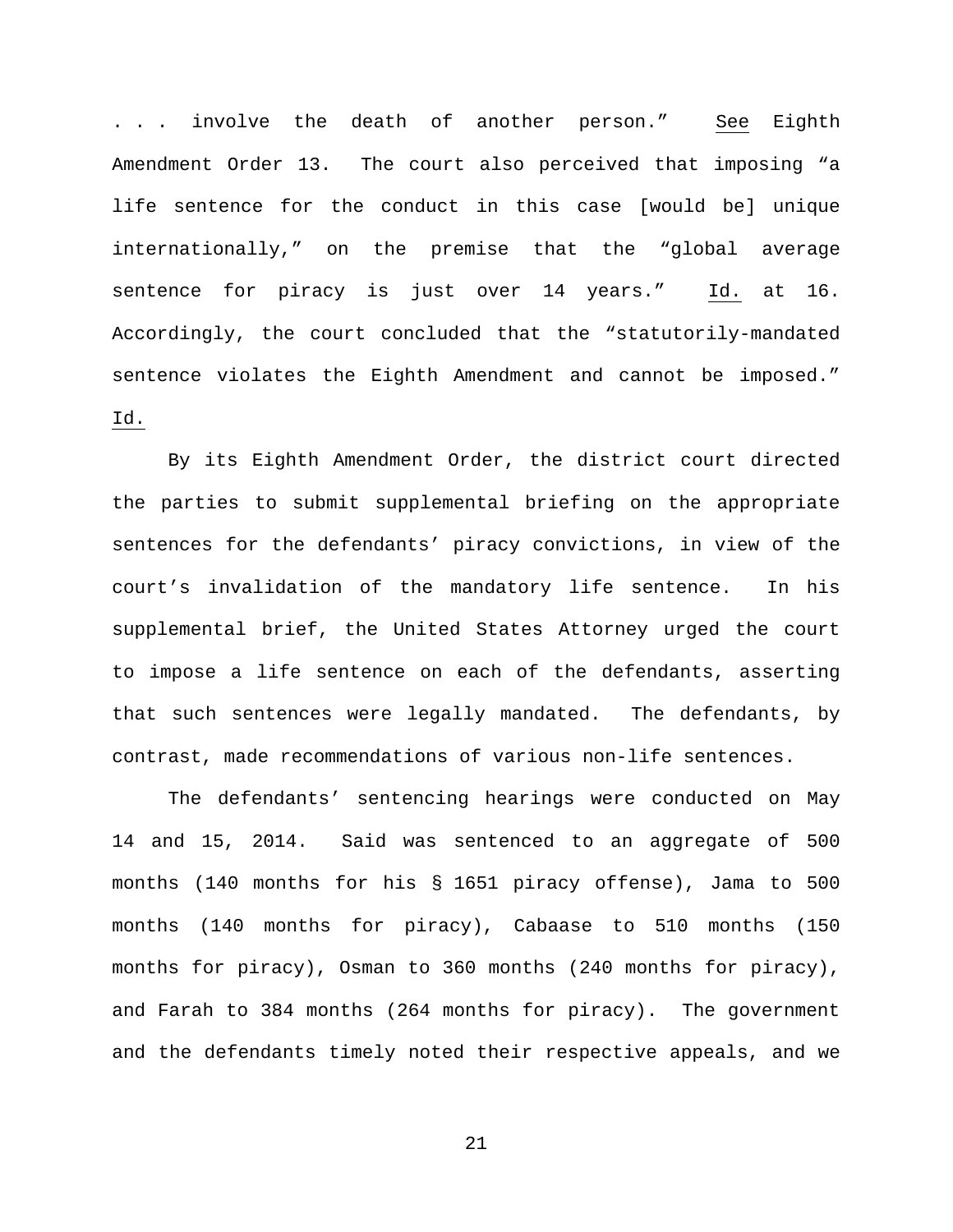. . . involve the death of another person." See Eighth Amendment Order 13. The court also perceived that imposing "a life sentence for the conduct in this case [would be] unique internationally," on the premise that the "global average sentence for piracy is just over 14 years." Id. at 16. Accordingly, the court concluded that the "statutorily-mandated sentence violates the Eighth Amendment and cannot be imposed." Id.

By its Eighth Amendment Order, the district court directed the parties to submit supplemental briefing on the appropriate sentences for the defendants' piracy convictions, in view of the court's invalidation of the mandatory life sentence. In his supplemental brief, the United States Attorney urged the court to impose a life sentence on each of the defendants, asserting that such sentences were legally mandated. The defendants, by contrast, made recommendations of various non-life sentences.

The defendants' sentencing hearings were conducted on May 14 and 15, 2014. Said was sentenced to an aggregate of 500 months (140 months for his § 1651 piracy offense), Jama to 500 months (140 months for piracy), Cabaase to 510 months (150 months for piracy), Osman to 360 months (240 months for piracy), and Farah to 384 months (264 months for piracy). The government and the defendants timely noted their respective appeals, and we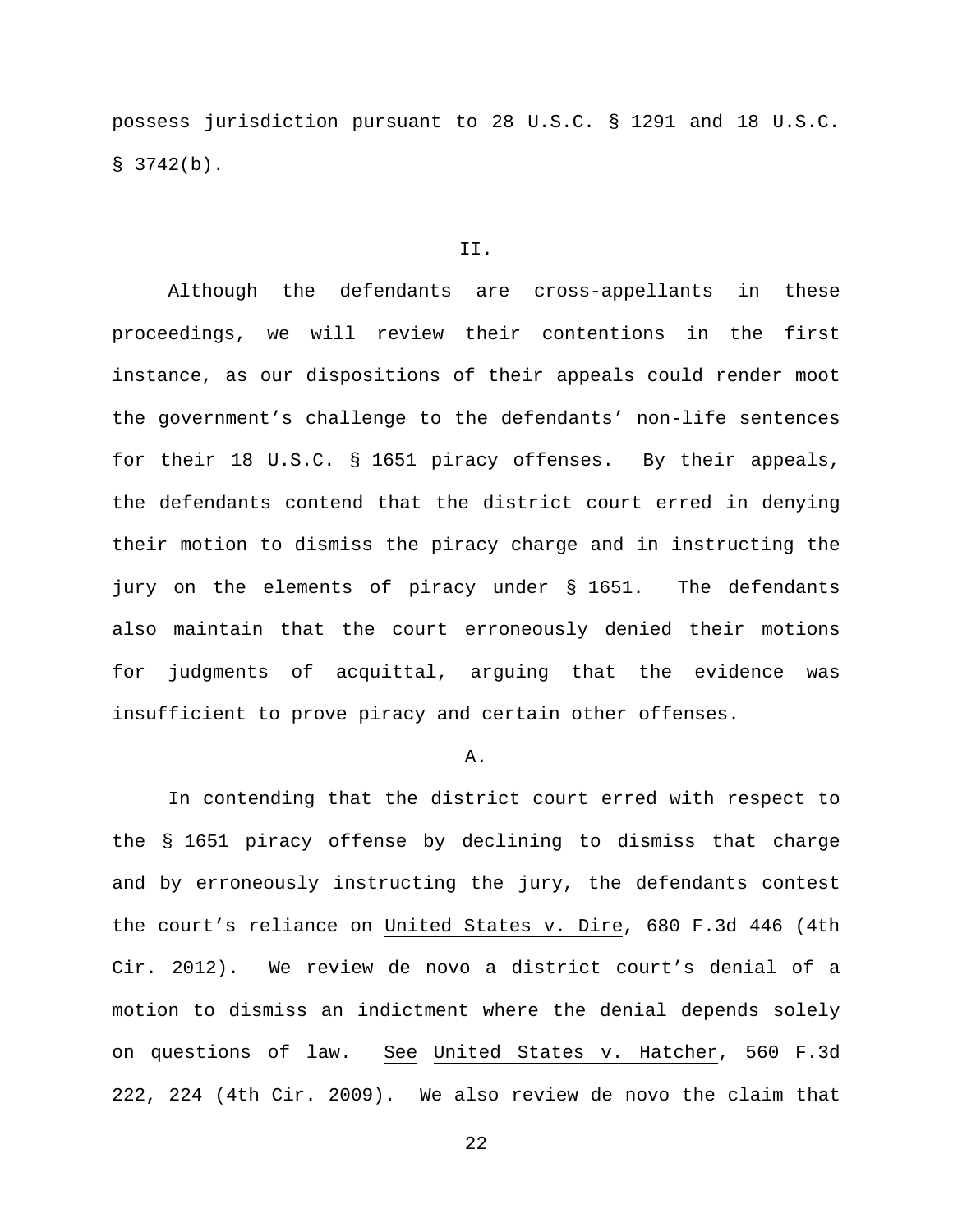possess jurisdiction pursuant to 28 U.S.C. § 1291 and 18 U.S.C.  $$3742(b).$ 

### II.

Although the defendants are cross-appellants in these proceedings, we will review their contentions in the first instance, as our dispositions of their appeals could render moot the government's challenge to the defendants' non-life sentences for their 18 U.S.C. § 1651 piracy offenses. By their appeals, the defendants contend that the district court erred in denying their motion to dismiss the piracy charge and in instructing the jury on the elements of piracy under § 1651. The defendants also maintain that the court erroneously denied their motions for judgments of acquittal, arguing that the evidence was insufficient to prove piracy and certain other offenses.

#### A.

In contending that the district court erred with respect to the § 1651 piracy offense by declining to dismiss that charge and by erroneously instructing the jury, the defendants contest the court's reliance on United States v. Dire, 680 F.3d 446 (4th Cir. 2012). We review de novo a district court's denial of a motion to dismiss an indictment where the denial depends solely on questions of law. See United States v. Hatcher, 560 F.3d 222, 224 (4th Cir. 2009). We also review de novo the claim that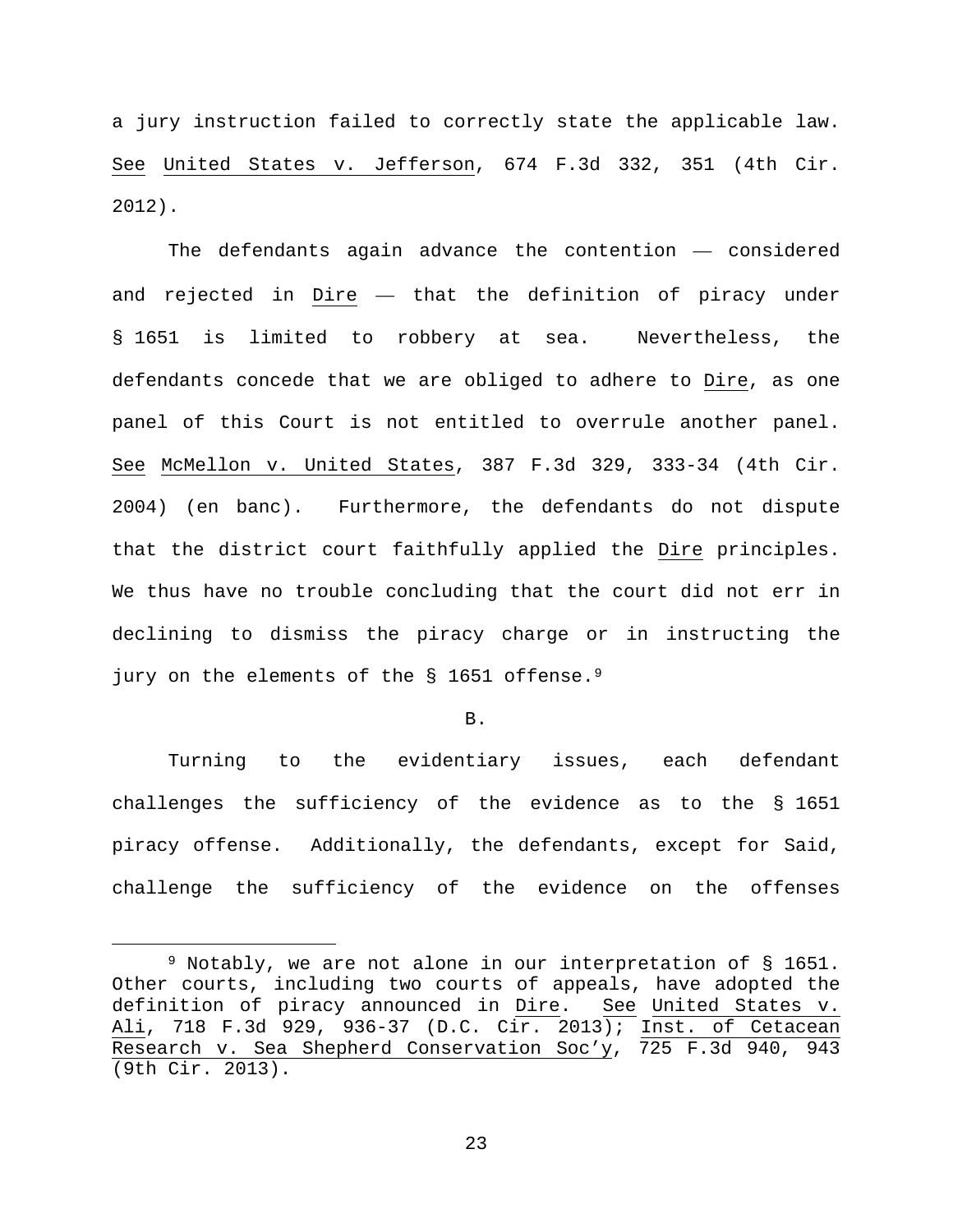a jury instruction failed to correctly state the applicable law. See United States v. Jefferson, 674 F.3d 332, 351 (4th Cir. 2012).

The defendants again advance the contention — considered and rejected in Dire — that the definition of piracy under § 1651 is limited to robbery at sea. Nevertheless, the defendants concede that we are obliged to adhere to Dire, as one panel of this Court is not entitled to overrule another panel. See McMellon v. United States, 387 F.3d 329, 333-34 (4th Cir. 2004) (en banc). Furthermore, the defendants do not dispute that the district court faithfully applied the Dire principles. We thus have no trouble concluding that the court did not err in declining to dismiss the piracy charge or in instructing the jury on the elements of the § 1651 offense.<sup>[9](#page-22-0)</sup>

B.

Turning to the evidentiary issues, each defendant challenges the sufficiency of the evidence as to the § 1651 piracy offense. Additionally, the defendants, except for Said, challenge the sufficiency of the evidence on the offenses

<span id="page-22-0"></span> <sup>9</sup> Notably, we are not alone in our interpretation of § 1651. Other courts, including two courts of appeals, have adopted the definition of piracy announced in Dire. See United States v. Ali, 718 F.3d 929, 936-37 (D.C. Cir. 2013); Inst. of Cetacean Research v. Sea Shepherd Conservation Soc'y, 725 F.3d 940, 943 (9th Cir. 2013).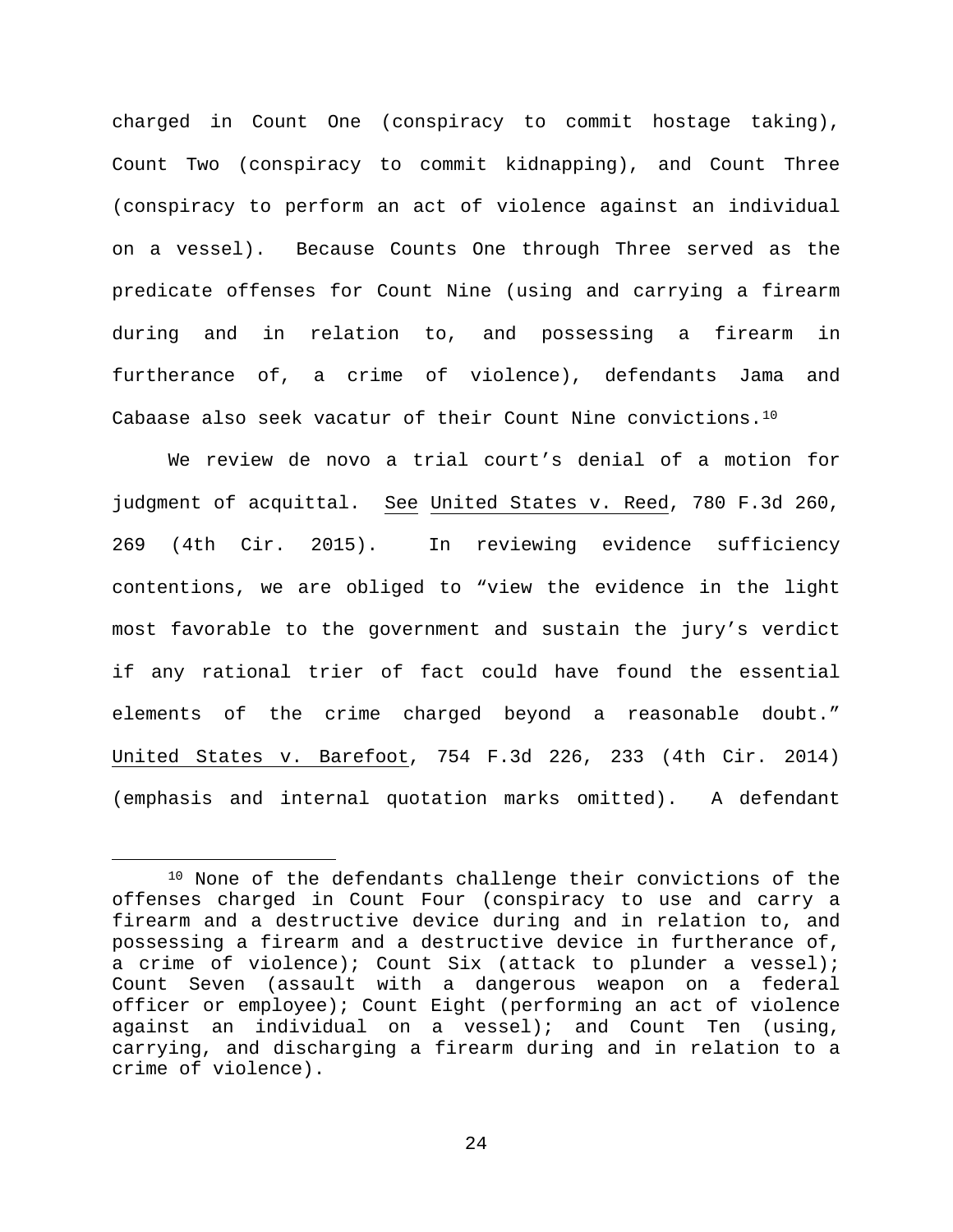charged in Count One (conspiracy to commit hostage taking), Count Two (conspiracy to commit kidnapping), and Count Three (conspiracy to perform an act of violence against an individual on a vessel). Because Counts One through Three served as the predicate offenses for Count Nine (using and carrying a firearm during and in relation to, and possessing a firearm in furtherance of, a crime of violence), defendants Jama and Cabaase also seek vacatur of their Count Nine convictions.[10](#page-23-0)

We review de novo a trial court's denial of a motion for judgment of acquittal. See United States v. Reed, 780 F.3d 260, 269 (4th Cir. 2015). In reviewing evidence sufficiency contentions, we are obliged to "view the evidence in the light most favorable to the government and sustain the jury's verdict if any rational trier of fact could have found the essential elements of the crime charged beyond a reasonable doubt." United States v. Barefoot, 754 F.3d 226, 233 (4th Cir. 2014) (emphasis and internal quotation marks omitted). A defendant

<span id="page-23-0"></span><sup>10</sup> None of the defendants challenge their convictions of the offenses charged in Count Four (conspiracy to use and carry a firearm and a destructive device during and in relation to, and possessing a firearm and a destructive device in furtherance of, a crime of violence); Count Six (attack to plunder a vessel); Count Seven (assault with a dangerous weapon on a federal officer or employee); Count Eight (performing an act of violence against an individual on a vessel); and Count Ten (using, carrying, and discharging a firearm during and in relation to a crime of violence).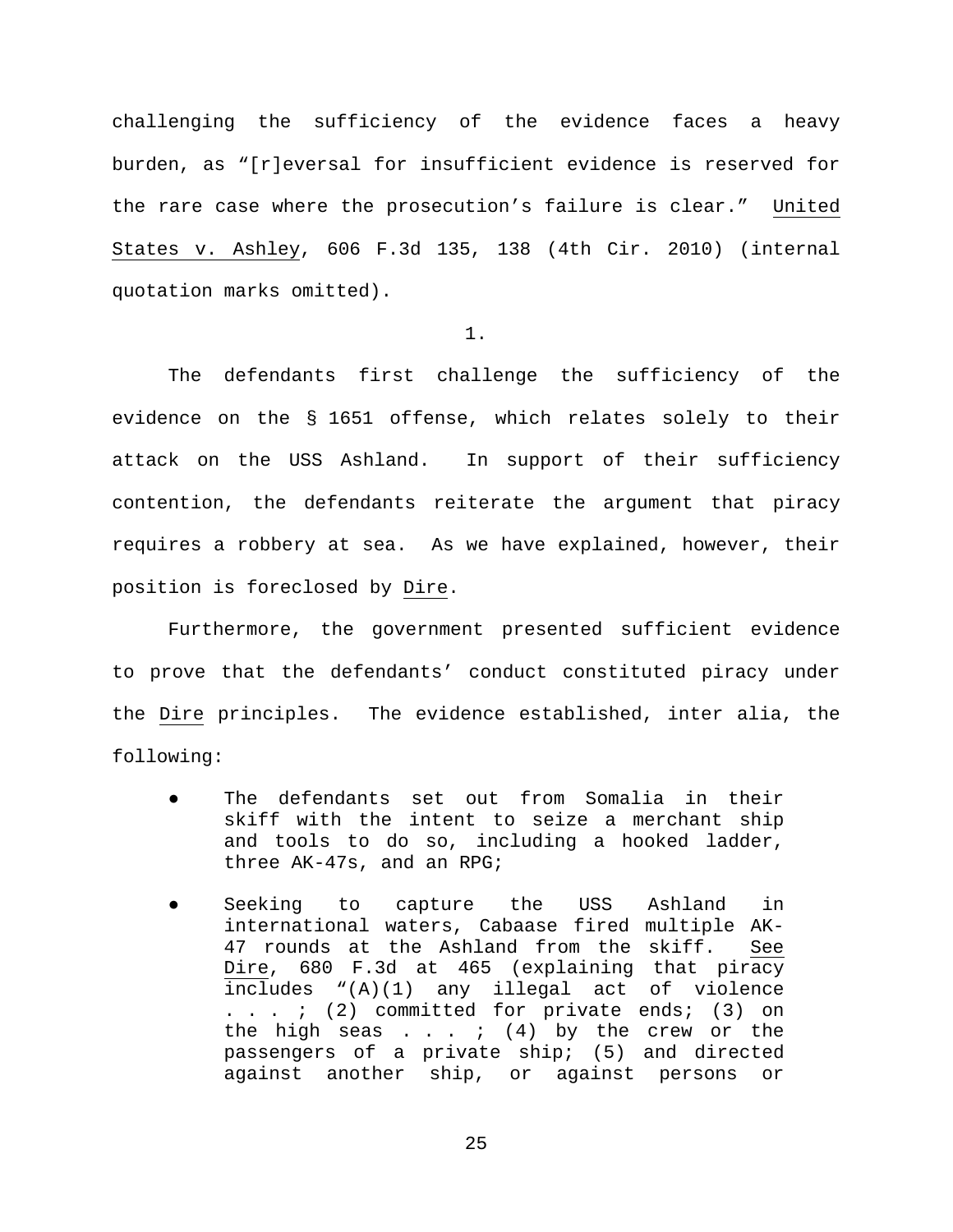challenging the sufficiency of the evidence faces a heavy burden, as "[r]eversal for insufficient evidence is reserved for the rare case where the prosecution's failure is clear." United States v. Ashley, 606 F.3d 135, 138 (4th Cir. 2010) (internal quotation marks omitted).

### 1.

The defendants first challenge the sufficiency of the evidence on the § 1651 offense, which relates solely to their attack on the USS Ashland. In support of their sufficiency contention, the defendants reiterate the argument that piracy requires a robbery at sea. As we have explained, however, their position is foreclosed by Dire.

Furthermore, the government presented sufficient evidence to prove that the defendants' conduct constituted piracy under the Dire principles. The evidence established, inter alia, the following:

- The defendants set out from Somalia in their skiff with the intent to seize a merchant ship and tools to do so, including a hooked ladder, three AK-47s, and an RPG;
- Seeking to capture the USS Ashland in international waters, Cabaase fired multiple AK-47 rounds at the Ashland from the skiff. See Dire, 680 F.3d at 465 (explaining that piracy includes "(A)(1) any illegal act of violence . . . ; (2) committed for private ends; (3) on the high seas  $\ldots$  ; (4) by the crew or the passengers of a private ship; (5) and directed against another ship, or against persons or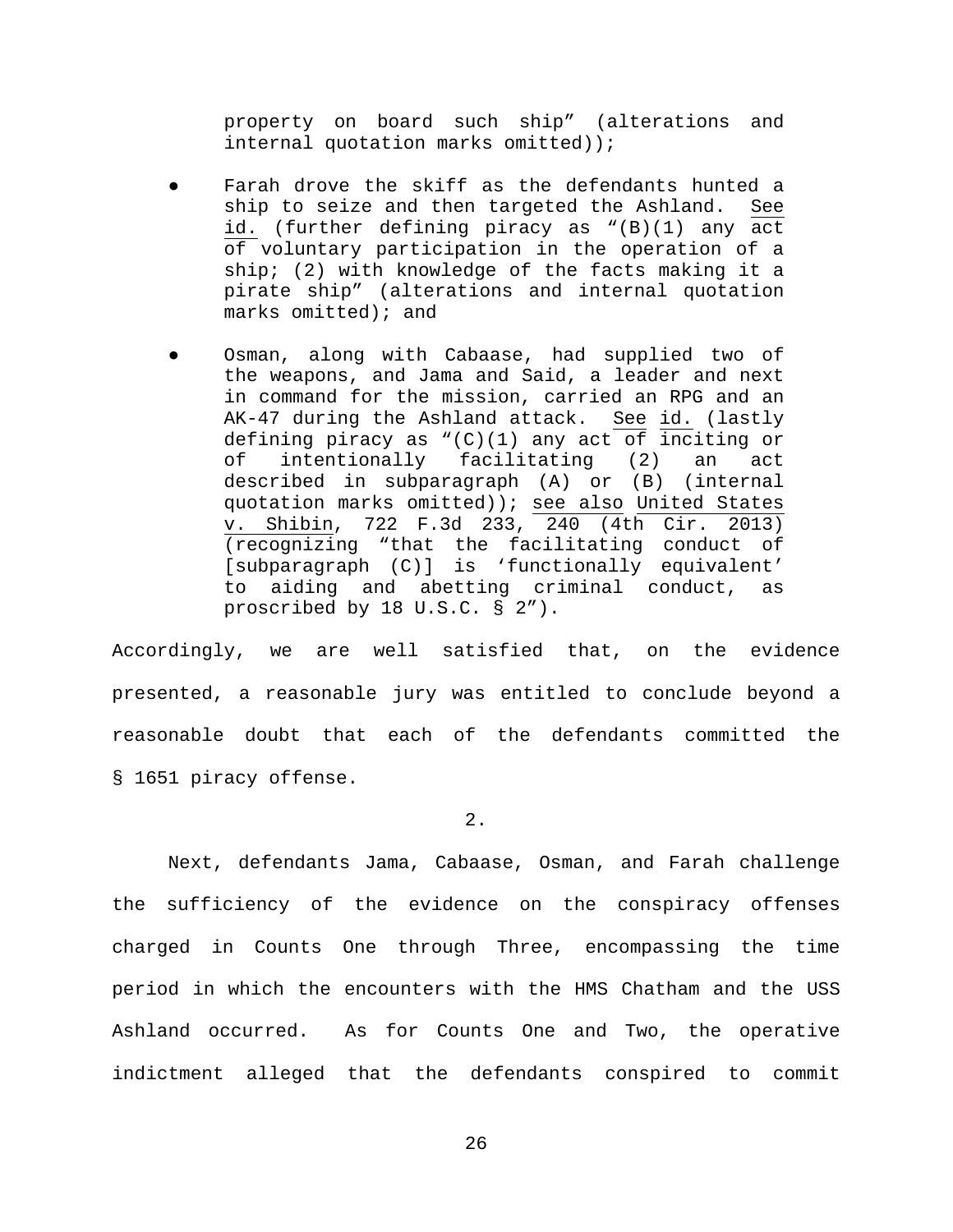property on board such ship" (alterations and internal quotation marks omitted));

- Farah drove the skiff as the defendants hunted a ship to seize and then targeted the Ashland. See id. (further defining piracy as "(B)(1) any act of voluntary participation in the operation of a ship; (2) with knowledge of the facts making it a pirate ship" (alterations and internal quotation marks omitted); and
- Osman, along with Cabaase, had supplied two of the weapons, and Jama and Said, a leader and next in command for the mission, carried an RPG and an AK-47 during the Ashland attack. See id. (lastly defining piracy as "(C)(1) any act of inciting or of intentionally facilitating (2) an act described in subparagraph (A) or (B) (internal quotation marks omitted)); see also United States v. Shibin, 722 F.3d 233, 240 (4th Cir. 2013) (recognizing "that the facilitating conduct of [subparagraph (C)] is 'functionally equivalent' to aiding and abetting criminal conduct, as proscribed by 18 U.S.C. § 2").

Accordingly, we are well satisfied that, on the evidence presented, a reasonable jury was entitled to conclude beyond a reasonable doubt that each of the defendants committed the § 1651 piracy offense.

2.

Next, defendants Jama, Cabaase, Osman, and Farah challenge the sufficiency of the evidence on the conspiracy offenses charged in Counts One through Three, encompassing the time period in which the encounters with the HMS Chatham and the USS Ashland occurred. As for Counts One and Two, the operative indictment alleged that the defendants conspired to commit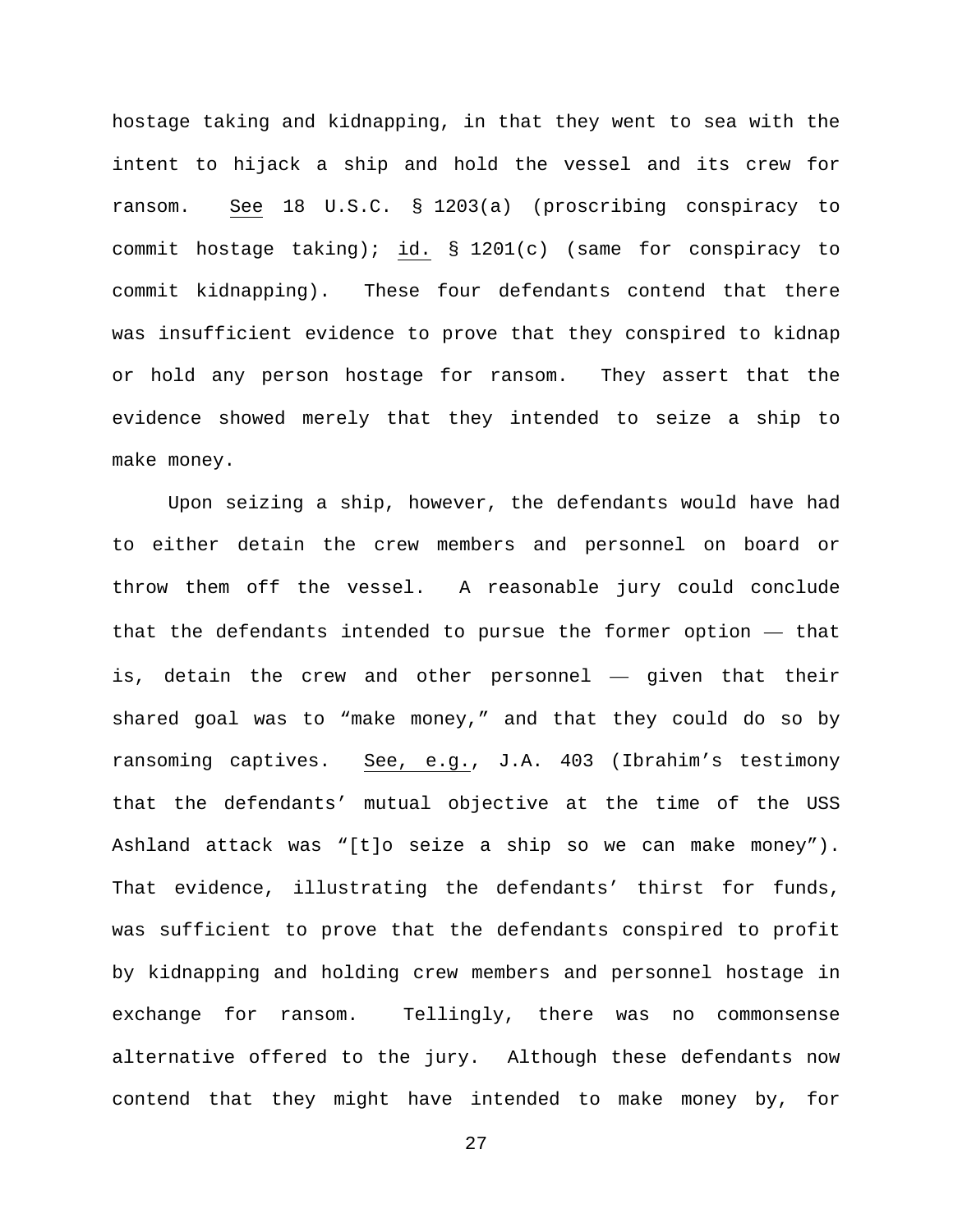hostage taking and kidnapping, in that they went to sea with the intent to hijack a ship and hold the vessel and its crew for ransom. See 18 U.S.C. § 1203(a) (proscribing conspiracy to commit hostage taking); id. § 1201(c) (same for conspiracy to commit kidnapping). These four defendants contend that there was insufficient evidence to prove that they conspired to kidnap or hold any person hostage for ransom. They assert that the evidence showed merely that they intended to seize a ship to make money.

Upon seizing a ship, however, the defendants would have had to either detain the crew members and personnel on board or throw them off the vessel. A reasonable jury could conclude that the defendants intended to pursue the former option — that is, detain the crew and other personnel — given that their shared goal was to "make money," and that they could do so by ransoming captives. See, e.g., J.A. 403 (Ibrahim's testimony that the defendants' mutual objective at the time of the USS Ashland attack was "[t]o seize a ship so we can make money"). That evidence, illustrating the defendants' thirst for funds, was sufficient to prove that the defendants conspired to profit by kidnapping and holding crew members and personnel hostage in exchange for ransom. Tellingly, there was no commonsense alternative offered to the jury. Although these defendants now contend that they might have intended to make money by, for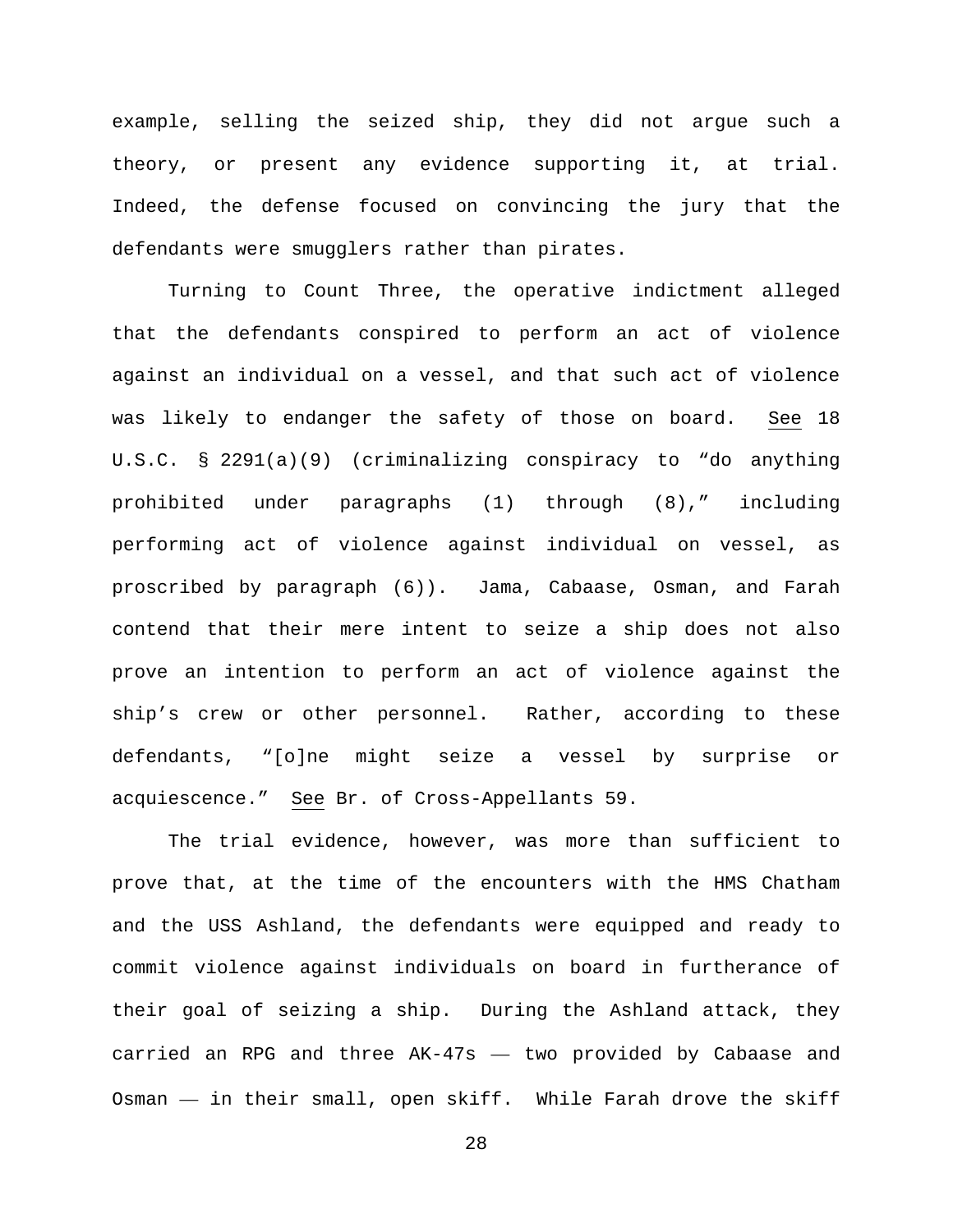example, selling the seized ship, they did not argue such a theory, or present any evidence supporting it, at trial. Indeed, the defense focused on convincing the jury that the defendants were smugglers rather than pirates.

Turning to Count Three, the operative indictment alleged that the defendants conspired to perform an act of violence against an individual on a vessel, and that such act of violence was likely to endanger the safety of those on board. See 18 U.S.C. § 2291(a)(9) (criminalizing conspiracy to "do anything prohibited under paragraphs (1) through (8)," including performing act of violence against individual on vessel, as proscribed by paragraph (6)). Jama, Cabaase, Osman, and Farah contend that their mere intent to seize a ship does not also prove an intention to perform an act of violence against the ship's crew or other personnel. Rather, according to these defendants, "[o]ne might seize a vessel by surprise or acquiescence." See Br. of Cross-Appellants 59.

The trial evidence, however, was more than sufficient to prove that, at the time of the encounters with the HMS Chatham and the USS Ashland, the defendants were equipped and ready to commit violence against individuals on board in furtherance of their goal of seizing a ship. During the Ashland attack, they carried an RPG and three AK-47s — two provided by Cabaase and Osman — in their small, open skiff. While Farah drove the skiff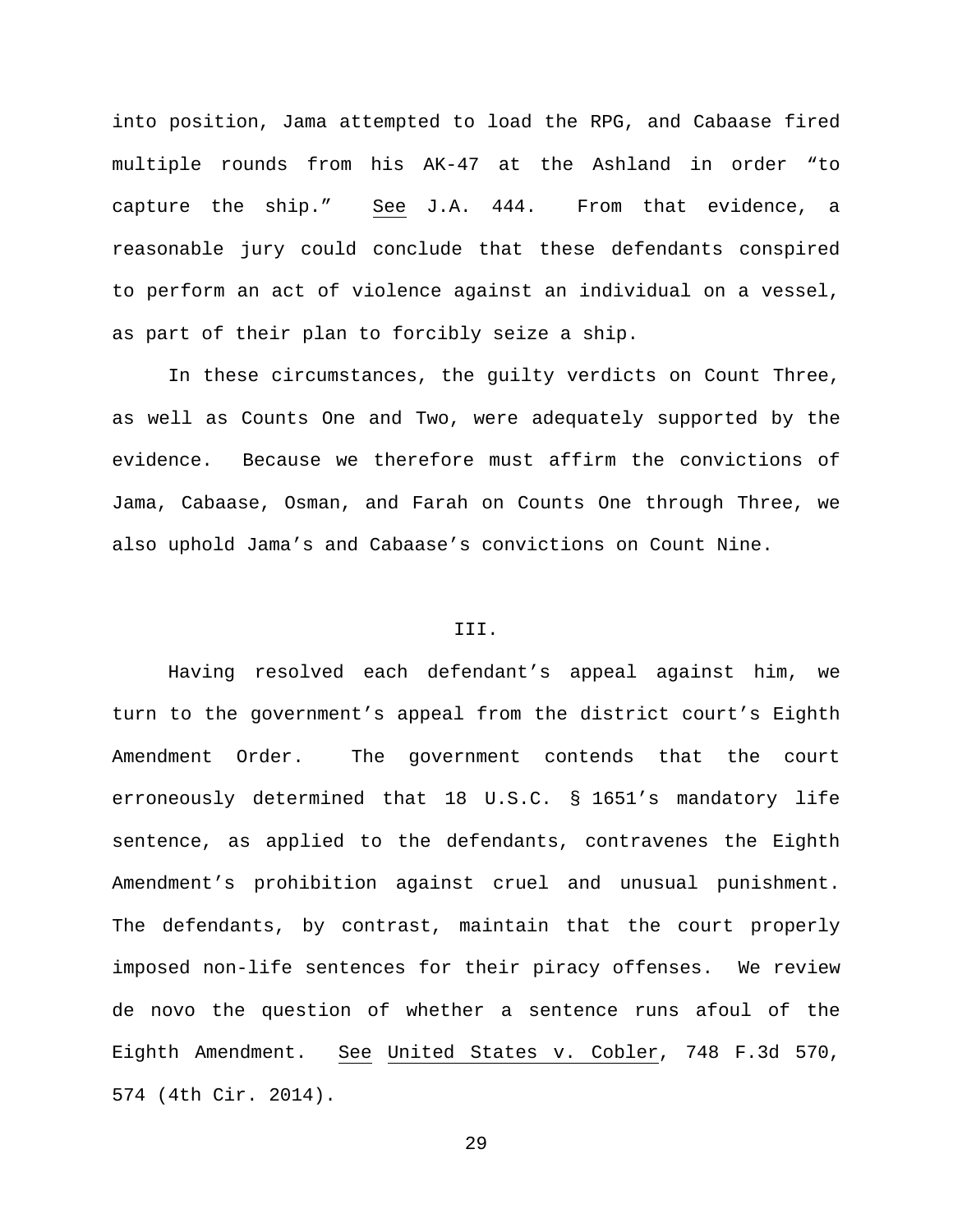into position, Jama attempted to load the RPG, and Cabaase fired multiple rounds from his AK-47 at the Ashland in order "to capture the ship." See J.A. 444. From that evidence, a reasonable jury could conclude that these defendants conspired to perform an act of violence against an individual on a vessel, as part of their plan to forcibly seize a ship.

In these circumstances, the guilty verdicts on Count Three, as well as Counts One and Two, were adequately supported by the evidence. Because we therefore must affirm the convictions of Jama, Cabaase, Osman, and Farah on Counts One through Three, we also uphold Jama's and Cabaase's convictions on Count Nine.

### III.

Having resolved each defendant's appeal against him, we turn to the government's appeal from the district court's Eighth Amendment Order. The government contends that the court erroneously determined that 18 U.S.C. § 1651's mandatory life sentence, as applied to the defendants, contravenes the Eighth Amendment's prohibition against cruel and unusual punishment. The defendants, by contrast, maintain that the court properly imposed non-life sentences for their piracy offenses. We review de novo the question of whether a sentence runs afoul of the Eighth Amendment. See United States v. Cobler, 748 F.3d 570, 574 (4th Cir. 2014).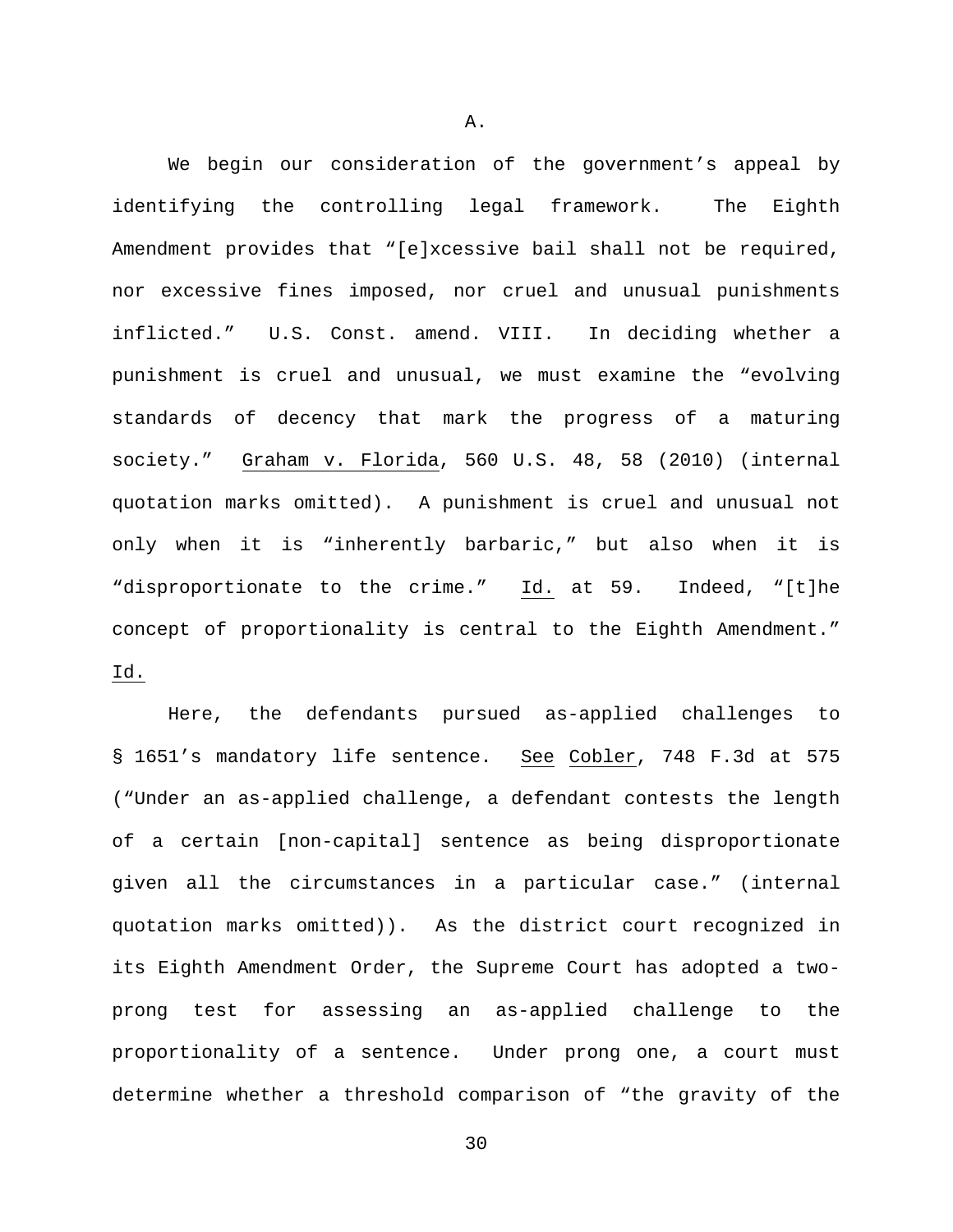We begin our consideration of the government's appeal by identifying the controlling legal framework. The Eighth Amendment provides that "[e]xcessive bail shall not be required, nor excessive fines imposed, nor cruel and unusual punishments inflicted." U.S. Const. amend. VIII. In deciding whether a punishment is cruel and unusual, we must examine the "evolving standards of decency that mark the progress of a maturing society." Graham v. Florida, 560 U.S. 48, 58 (2010) (internal quotation marks omitted). A punishment is cruel and unusual not only when it is "inherently barbaric," but also when it is "disproportionate to the crime." Id. at 59. Indeed, "[t]he concept of proportionality is central to the Eighth Amendment." Id.

Here, the defendants pursued as-applied challenges to § 1651's mandatory life sentence. See Cobler, 748 F.3d at 575 ("Under an as-applied challenge, a defendant contests the length of a certain [non-capital] sentence as being disproportionate given all the circumstances in a particular case." (internal quotation marks omitted)). As the district court recognized in its Eighth Amendment Order, the Supreme Court has adopted a twoprong test for assessing an as-applied challenge to the proportionality of a sentence. Under prong one, a court must determine whether a threshold comparison of "the gravity of the

A.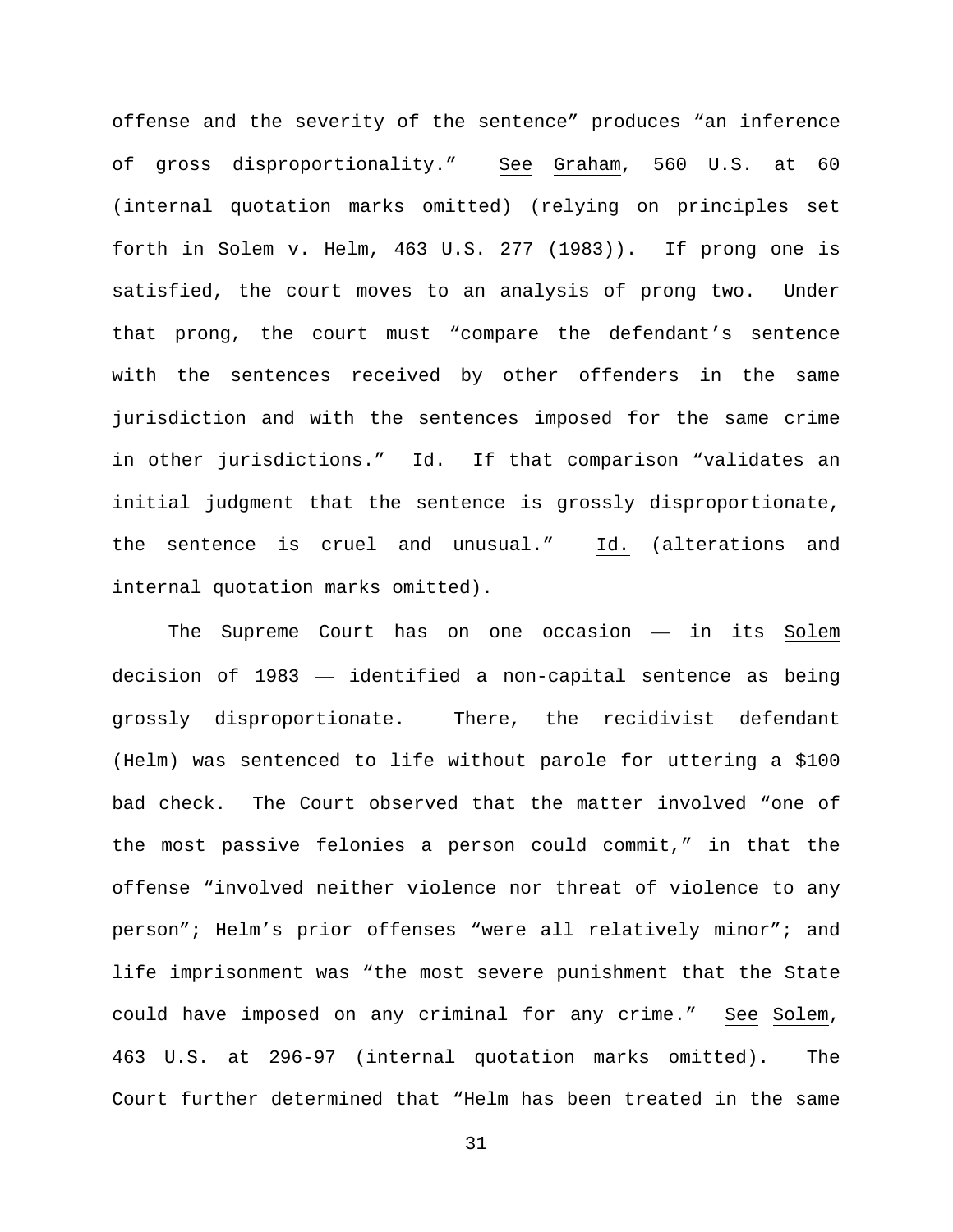offense and the severity of the sentence" produces "an inference of gross disproportionality." See Graham, 560 U.S. at 60 (internal quotation marks omitted) (relying on principles set forth in Solem v. Helm, 463 U.S. 277 (1983)). If prong one is satisfied, the court moves to an analysis of prong two. Under that prong, the court must "compare the defendant's sentence with the sentences received by other offenders in the same jurisdiction and with the sentences imposed for the same crime in other jurisdictions." Id. If that comparison "validates an initial judgment that the sentence is grossly disproportionate, the sentence is cruel and unusual." Id. (alterations and internal quotation marks omitted).

The Supreme Court has on one occasion — in its Solem decision of 1983 — identified a non-capital sentence as being grossly disproportionate. There, the recidivist defendant (Helm) was sentenced to life without parole for uttering a \$100 bad check. The Court observed that the matter involved "one of the most passive felonies a person could commit," in that the offense "involved neither violence nor threat of violence to any person"; Helm's prior offenses "were all relatively minor"; and life imprisonment was "the most severe punishment that the State could have imposed on any criminal for any crime." See Solem, 463 U.S. at 296-97 (internal quotation marks omitted). The Court further determined that "Helm has been treated in the same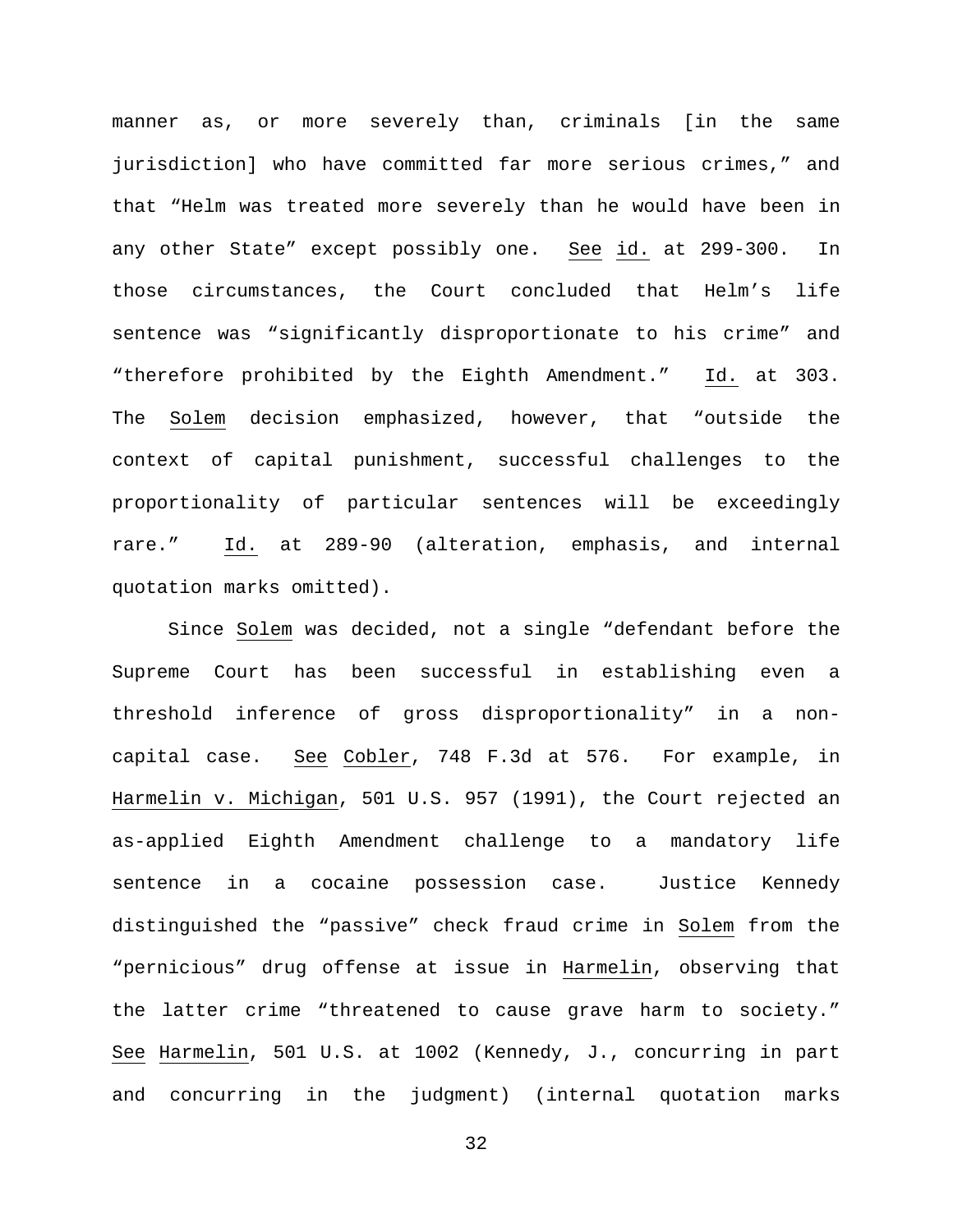manner as, or more severely than, criminals [in the same jurisdiction] who have committed far more serious crimes," and that "Helm was treated more severely than he would have been in any other State" except possibly one. See id. at 299-300. In those circumstances, the Court concluded that Helm's life sentence was "significantly disproportionate to his crime" and "therefore prohibited by the Eighth Amendment." Id. at 303. The Solem decision emphasized, however, that "outside the context of capital punishment, successful challenges to the proportionality of particular sentences will be exceedingly rare." Id. at 289-90 (alteration, emphasis, and internal quotation marks omitted).

Since Solem was decided, not a single "defendant before the Supreme Court has been successful in establishing even a threshold inference of gross disproportionality" in a noncapital case. See Cobler, 748 F.3d at 576. For example, in Harmelin v. Michigan, 501 U.S. 957 (1991), the Court rejected an as-applied Eighth Amendment challenge to a mandatory life sentence in a cocaine possession case. Justice Kennedy distinguished the "passive" check fraud crime in Solem from the "pernicious" drug offense at issue in Harmelin, observing that the latter crime "threatened to cause grave harm to society." See Harmelin, 501 U.S. at 1002 (Kennedy, J., concurring in part and concurring in the judgment) (internal quotation marks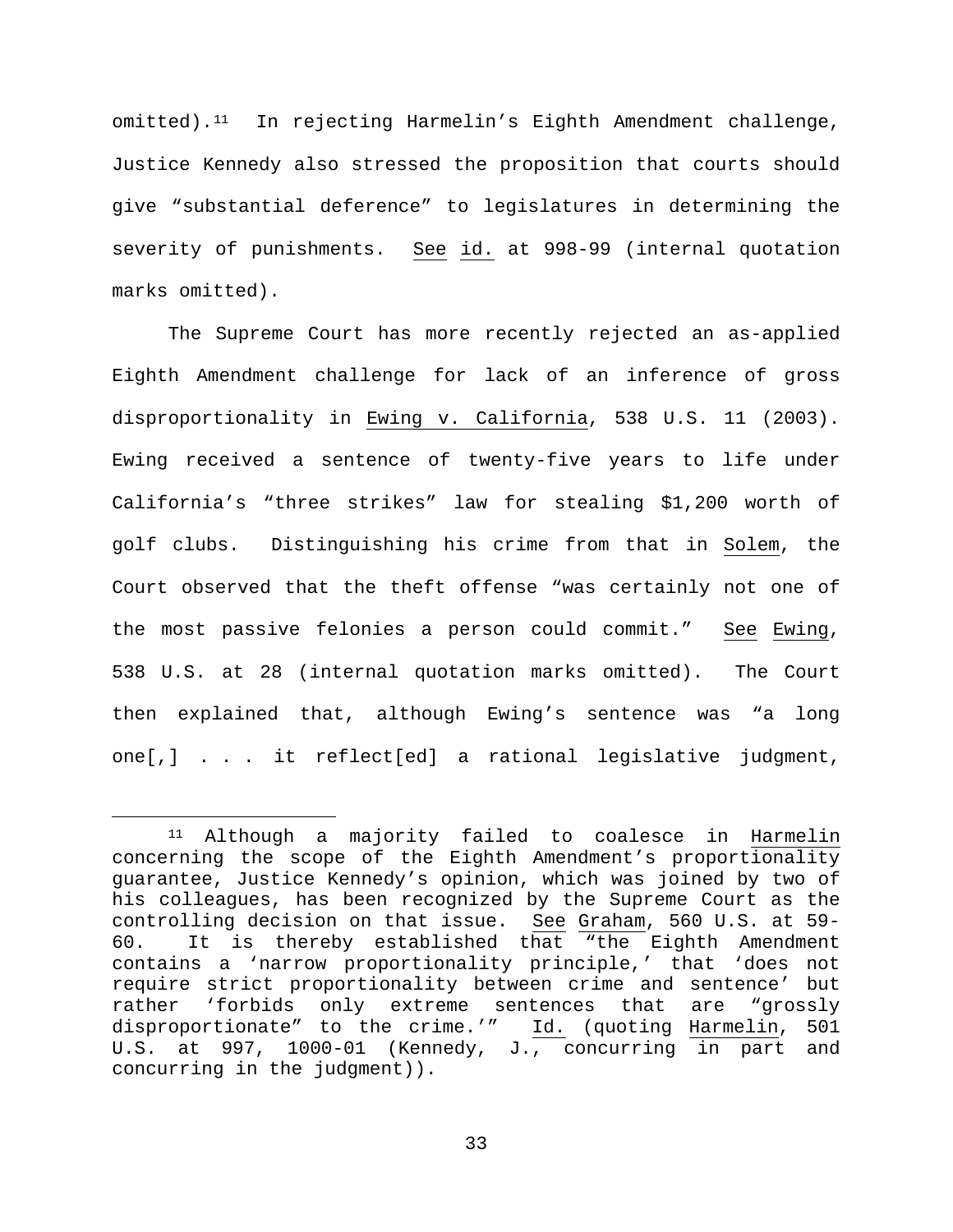omitted).[11](#page-32-0) In rejecting Harmelin's Eighth Amendment challenge, Justice Kennedy also stressed the proposition that courts should give "substantial deference" to legislatures in determining the severity of punishments. See id. at 998-99 (internal quotation marks omitted).

The Supreme Court has more recently rejected an as-applied Eighth Amendment challenge for lack of an inference of gross disproportionality in Ewing v. California, 538 U.S. 11 (2003). Ewing received a sentence of twenty-five years to life under California's "three strikes" law for stealing \$1,200 worth of golf clubs. Distinguishing his crime from that in Solem, the Court observed that the theft offense "was certainly not one of the most passive felonies a person could commit." See Ewing, 538 U.S. at 28 (internal quotation marks omitted). The Court then explained that, although Ewing's sentence was "a long one[,] . . . it reflect[ed] a rational legislative judgment,

<span id="page-32-0"></span><sup>11</sup> Although a majority failed to coalesce in Harmelin concerning the scope of the Eighth Amendment's proportionality guarantee, Justice Kennedy's opinion, which was joined by two of his colleagues, has been recognized by the Supreme Court as the controlling decision on that issue. See Graham, 560 U.S. at 59- 60. It is thereby established that "the Eighth Amendment contains a 'narrow proportionality principle,' that 'does not require strict proportionality between crime and sentence' but rather 'forbids only extreme sentences that are "grossly disproportionate" to the crime.'" Id. (quoting Harmelin, 501 U.S. at 997, 1000-01 (Kennedy, J., concurring in part and concurring in the judgment)).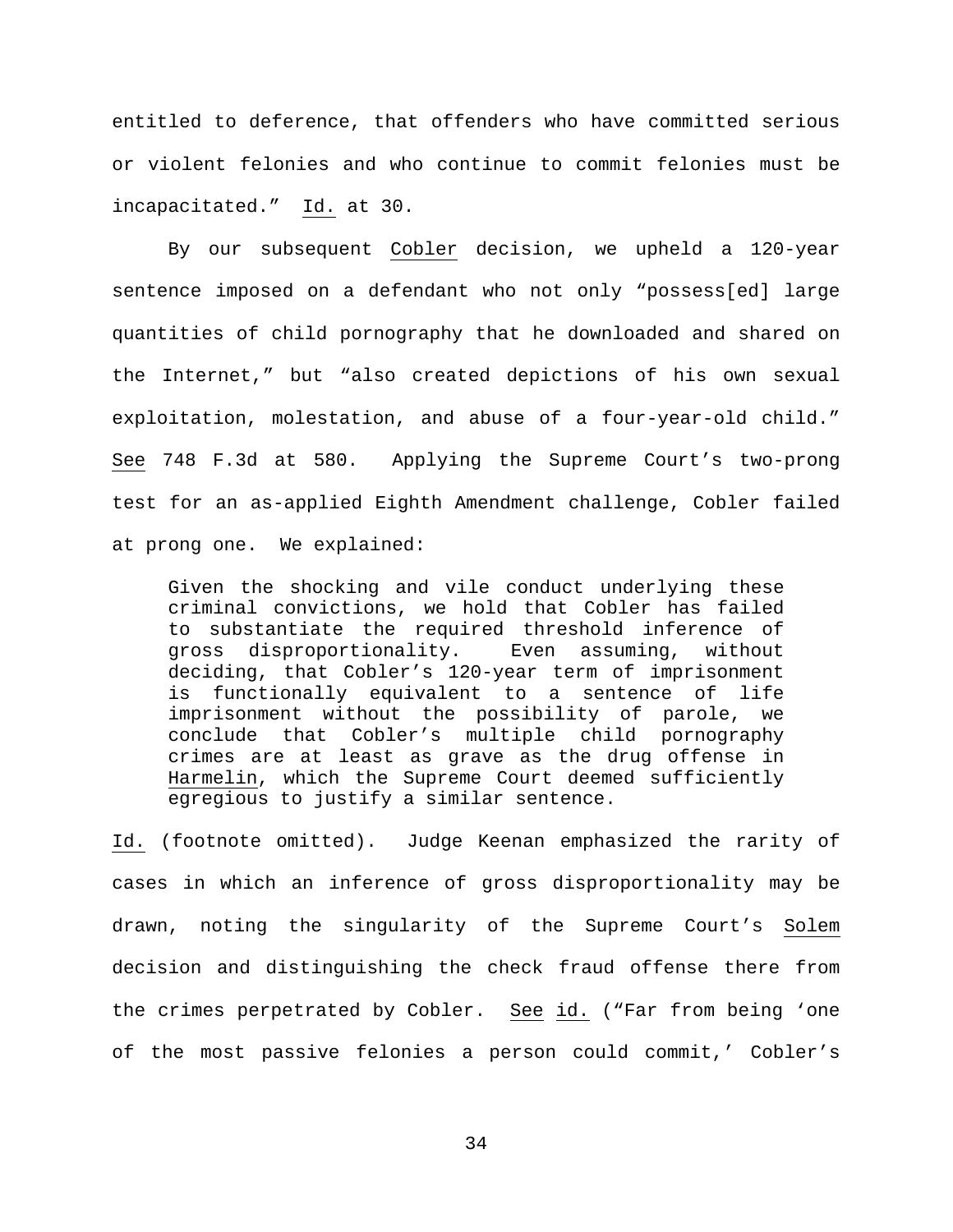entitled to deference, that offenders who have committed serious or violent felonies and who continue to commit felonies must be incapacitated." Id. at 30.

By our subsequent Cobler decision, we upheld a 120-year sentence imposed on a defendant who not only "possess[ed] large quantities of child pornography that he downloaded and shared on the Internet," but "also created depictions of his own sexual exploitation, molestation, and abuse of a four-year-old child." See 748 F.3d at 580. Applying the Supreme Court's two-prong test for an as-applied Eighth Amendment challenge, Cobler failed at prong one. We explained:

Given the shocking and vile conduct underlying these criminal convictions, we hold that Cobler has failed to substantiate the required threshold inference of gross disproportionality. Even assuming, without deciding, that Cobler's 120-year term of imprisonment is functionally equivalent to a sentence of life imprisonment without the possibility of parole, we conclude that Cobler's multiple child pornography crimes are at least as grave as the drug offense in Harmelin, which the Supreme Court deemed sufficiently egregious to justify a similar sentence.

Id. (footnote omitted). Judge Keenan emphasized the rarity of cases in which an inference of gross disproportionality may be drawn, noting the singularity of the Supreme Court's Solem decision and distinguishing the check fraud offense there from the crimes perpetrated by Cobler. See id. ("Far from being 'one of the most passive felonies a person could commit,' Cobler's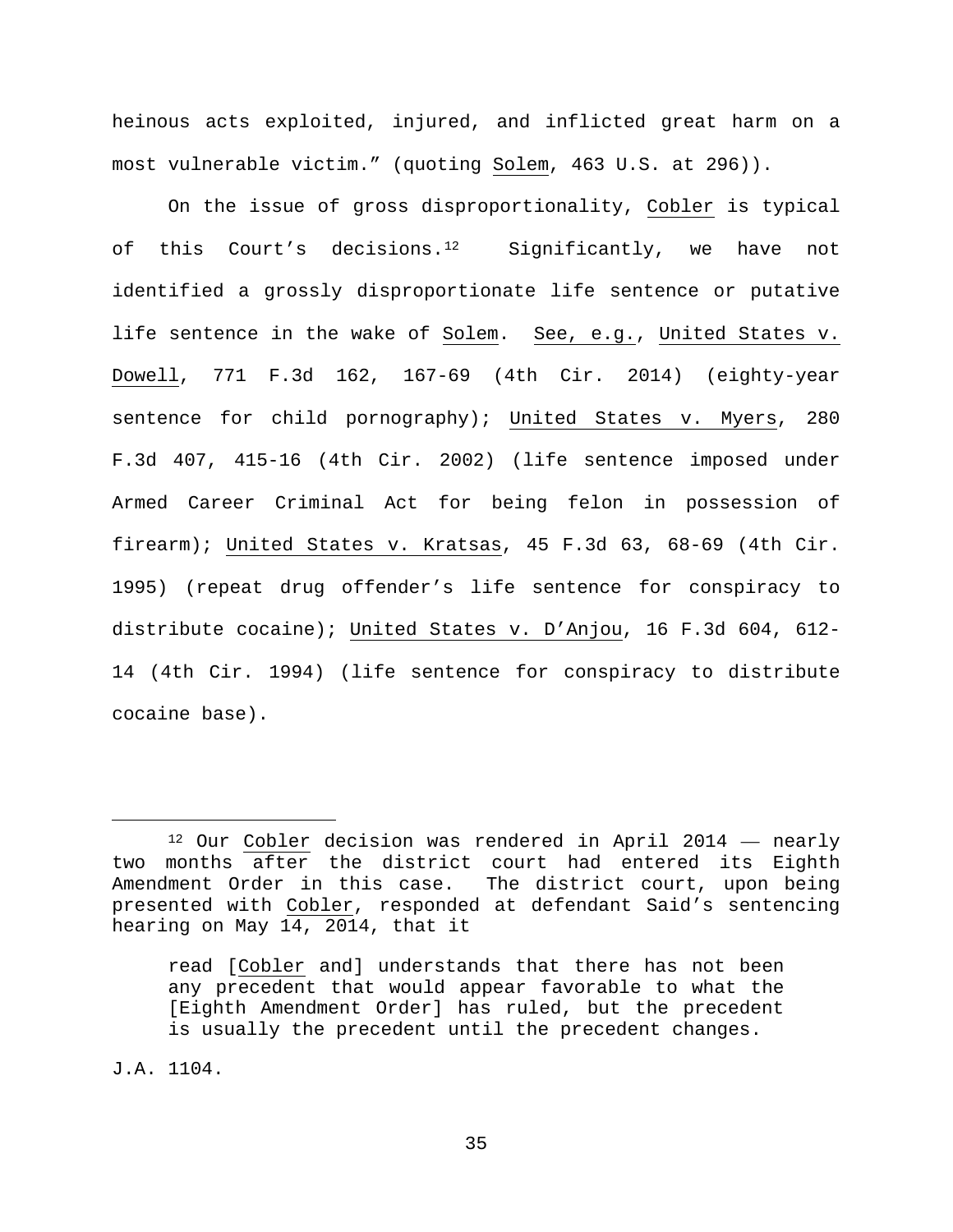heinous acts exploited, injured, and inflicted great harm on a most vulnerable victim." (quoting Solem, 463 U.S. at 296)).

On the issue of gross disproportionality, Cobler is typical of this Court's decisions.<sup>[12](#page-34-0)</sup> Significantly, we have not identified a grossly disproportionate life sentence or putative life sentence in the wake of Solem. See, e.g., United States v. Dowell, 771 F.3d 162, 167-69 (4th Cir. 2014) (eighty-year sentence for child pornography); United States v. Myers, 280 F.3d 407, 415-16 (4th Cir. 2002) (life sentence imposed under Armed Career Criminal Act for being felon in possession of firearm); United States v. Kratsas, 45 F.3d 63, 68-69 (4th Cir. 1995) (repeat drug offender's life sentence for conspiracy to distribute cocaine); United States v. D'Anjou, 16 F.3d 604, 612- 14 (4th Cir. 1994) (life sentence for conspiracy to distribute cocaine base).

J.A. 1104.

<span id="page-34-0"></span> $12$  Our Cobler decision was rendered in April 2014  $-$  nearly two months after the district court had entered its Eighth Amendment Order in this case. The district court, upon being presented with Cobler, responded at defendant Said's sentencing hearing on May 14, 2014, that it

read [Cobler and] understands that there has not been any precedent that would appear favorable to what the [Eighth Amendment Order] has ruled, but the precedent is usually the precedent until the precedent changes.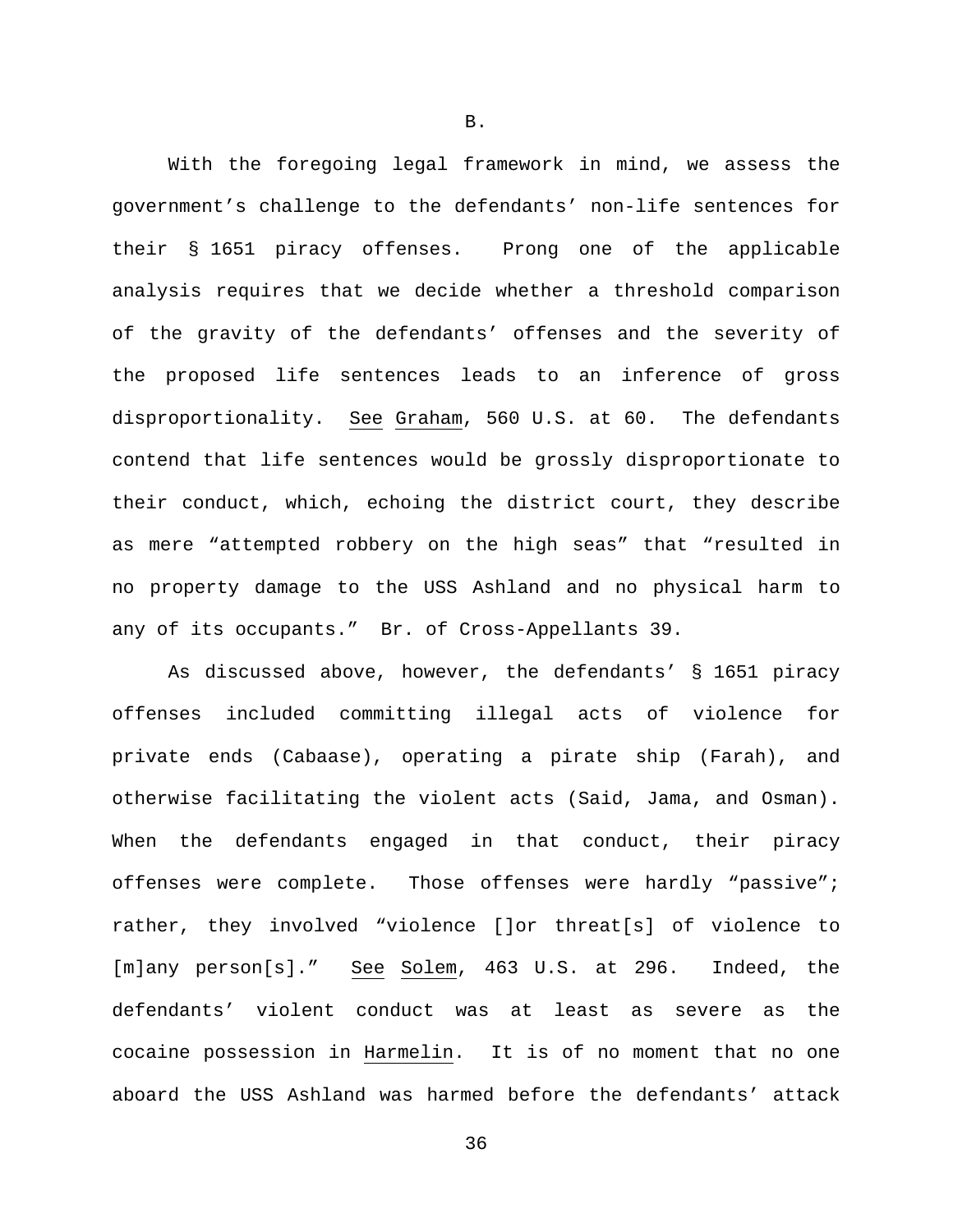With the foregoing legal framework in mind, we assess the government's challenge to the defendants' non-life sentences for their § 1651 piracy offenses. Prong one of the applicable analysis requires that we decide whether a threshold comparison of the gravity of the defendants' offenses and the severity of the proposed life sentences leads to an inference of gross disproportionality. See Graham, 560 U.S. at 60. The defendants contend that life sentences would be grossly disproportionate to their conduct, which, echoing the district court, they describe as mere "attempted robbery on the high seas" that "resulted in no property damage to the USS Ashland and no physical harm to any of its occupants." Br. of Cross-Appellants 39.

As discussed above, however, the defendants' § 1651 piracy offenses included committing illegal acts of violence for private ends (Cabaase), operating a pirate ship (Farah), and otherwise facilitating the violent acts (Said, Jama, and Osman). When the defendants engaged in that conduct, their piracy offenses were complete. Those offenses were hardly "passive"; rather, they involved "violence []or threat[s] of violence to [m]any person[s]." See Solem, 463 U.S. at 296. Indeed, the defendants' violent conduct was at least as severe as the cocaine possession in Harmelin. It is of no moment that no one aboard the USS Ashland was harmed before the defendants' attack

B.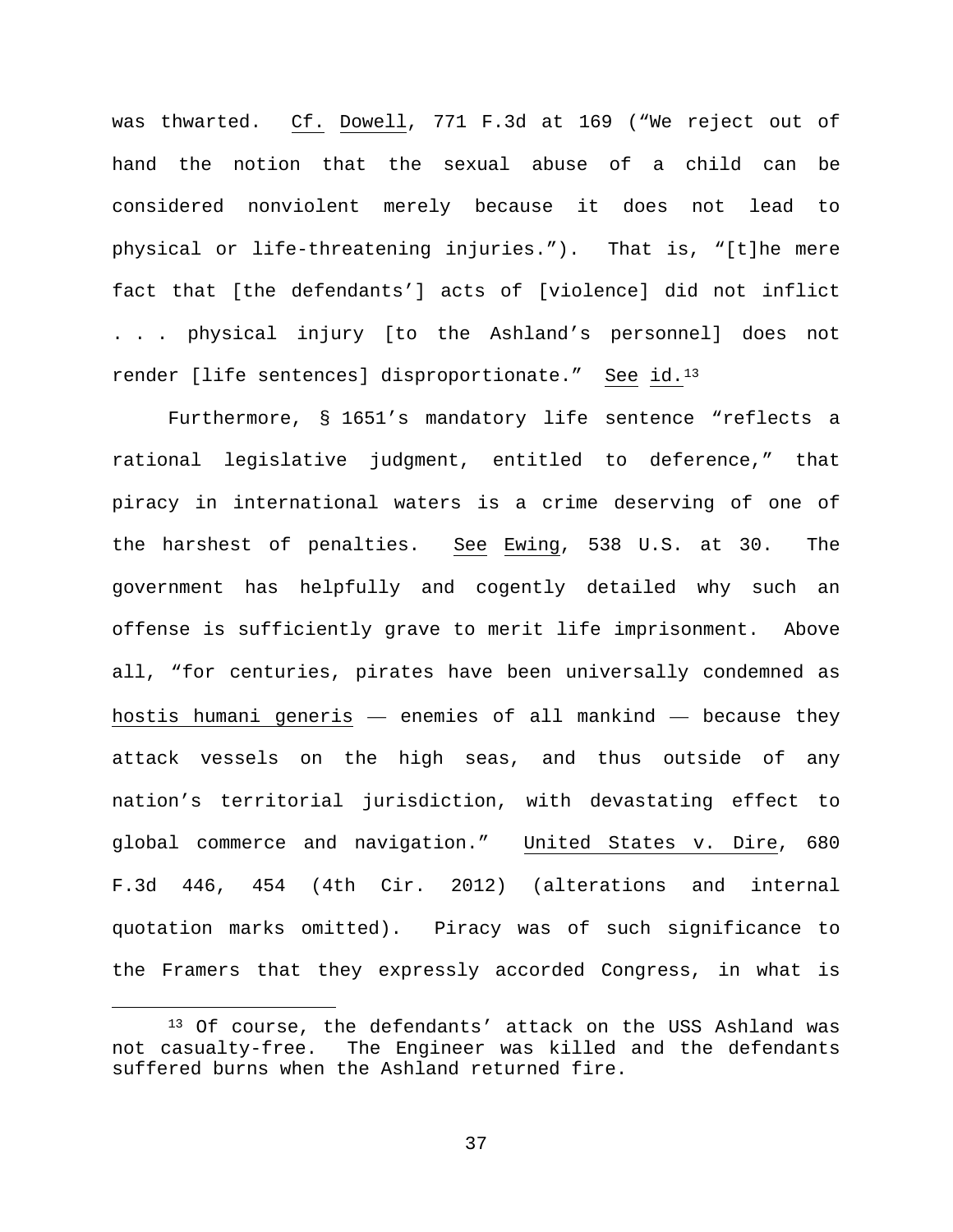was thwarted. Cf. Dowell, 771 F.3d at 169 ("We reject out of hand the notion that the sexual abuse of a child can be considered nonviolent merely because it does not lead to physical or life-threatening injuries."). That is, "[t]he mere fact that [the defendants'] acts of [violence] did not inflict . . . physical injury [to the Ashland's personnel] does not render [life sentences] disproportionate." See id.[13](#page-36-0)

Furthermore, § 1651's mandatory life sentence "reflects a rational legislative judgment, entitled to deference," that piracy in international waters is a crime deserving of one of the harshest of penalties. See Ewing, 538 U.S. at 30. The government has helpfully and cogently detailed why such an offense is sufficiently grave to merit life imprisonment. Above all, "for centuries, pirates have been universally condemned as hostis humani generis — enemies of all mankind — because they attack vessels on the high seas, and thus outside of any nation's territorial jurisdiction, with devastating effect to global commerce and navigation." United States v. Dire, 680 F.3d 446, 454 (4th Cir. 2012) (alterations and internal quotation marks omitted). Piracy was of such significance to the Framers that they expressly accorded Congress, in what is

<span id="page-36-0"></span> <sup>13</sup> Of course, the defendants' attack on the USS Ashland was not casualty-free. The Engineer was killed and the defendants suffered burns when the Ashland returned fire.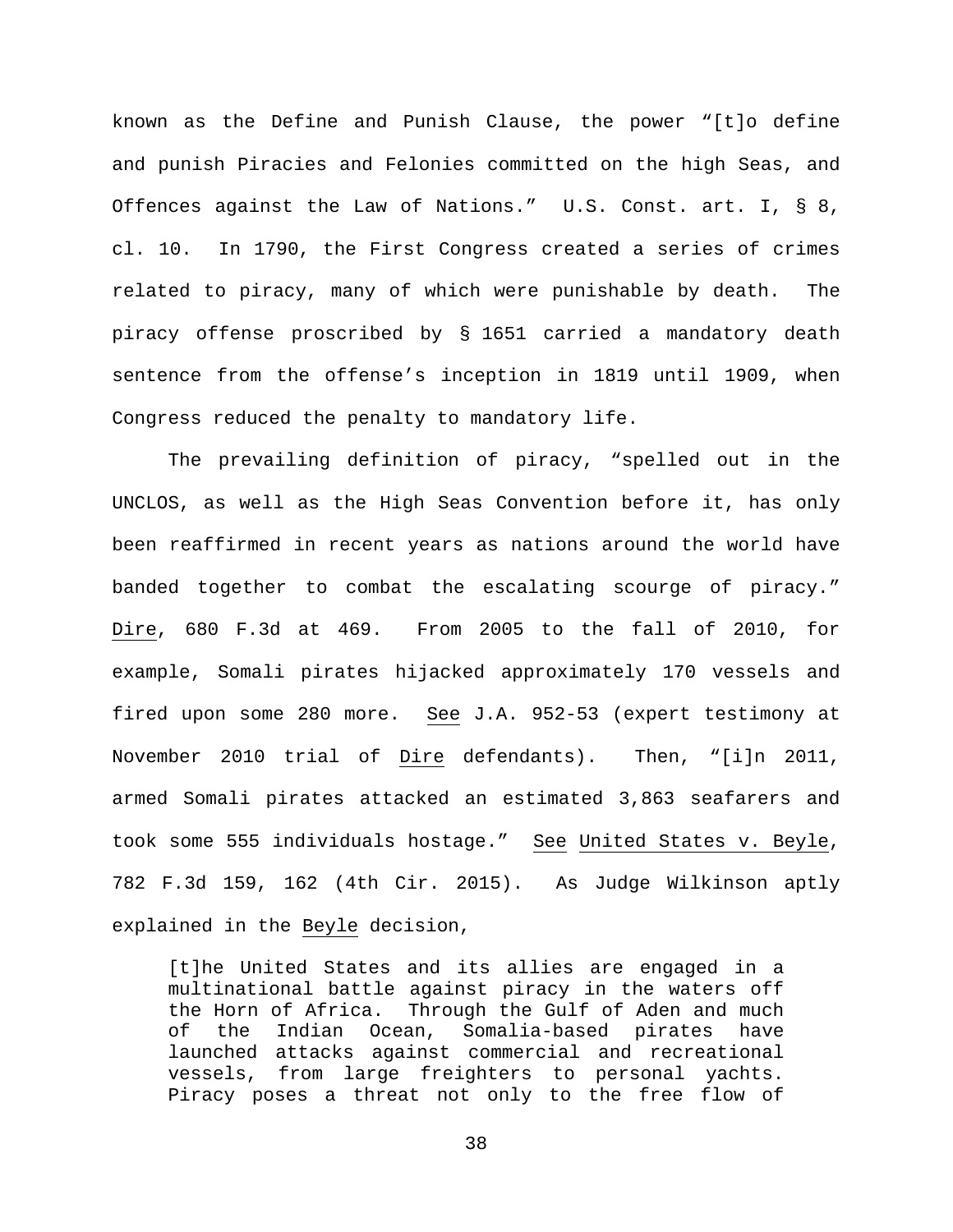known as the Define and Punish Clause, the power "[t]o define and punish Piracies and Felonies committed on the high Seas, and Offences against the Law of Nations." U.S. Const. art. I, § 8, cl. 10. In 1790, the First Congress created a series of crimes related to piracy, many of which were punishable by death. The piracy offense proscribed by § 1651 carried a mandatory death sentence from the offense's inception in 1819 until 1909, when Congress reduced the penalty to mandatory life.

The prevailing definition of piracy, "spelled out in the UNCLOS, as well as the High Seas Convention before it, has only been reaffirmed in recent years as nations around the world have banded together to combat the escalating scourge of piracy." Dire, 680 F.3d at 469. From 2005 to the fall of 2010, for example, Somali pirates hijacked approximately 170 vessels and fired upon some 280 more. See J.A. 952-53 (expert testimony at November 2010 trial of Dire defendants). Then, "[i]n 2011, armed Somali pirates attacked an estimated 3,863 seafarers and took some 555 individuals hostage." See United States v. Beyle, 782 F.3d 159, 162 (4th Cir. 2015). As Judge Wilkinson aptly explained in the Beyle decision,

[t]he United States and its allies are engaged in a multinational battle against piracy in the waters off the Horn of Africa. Through the Gulf of Aden and much<br>of the Indian Ocean, Somalia-based pirates have of the Indian Ocean, Somalia-based pirates have launched attacks against commercial and recreational vessels, from large freighters to personal yachts. Piracy poses a threat not only to the free flow of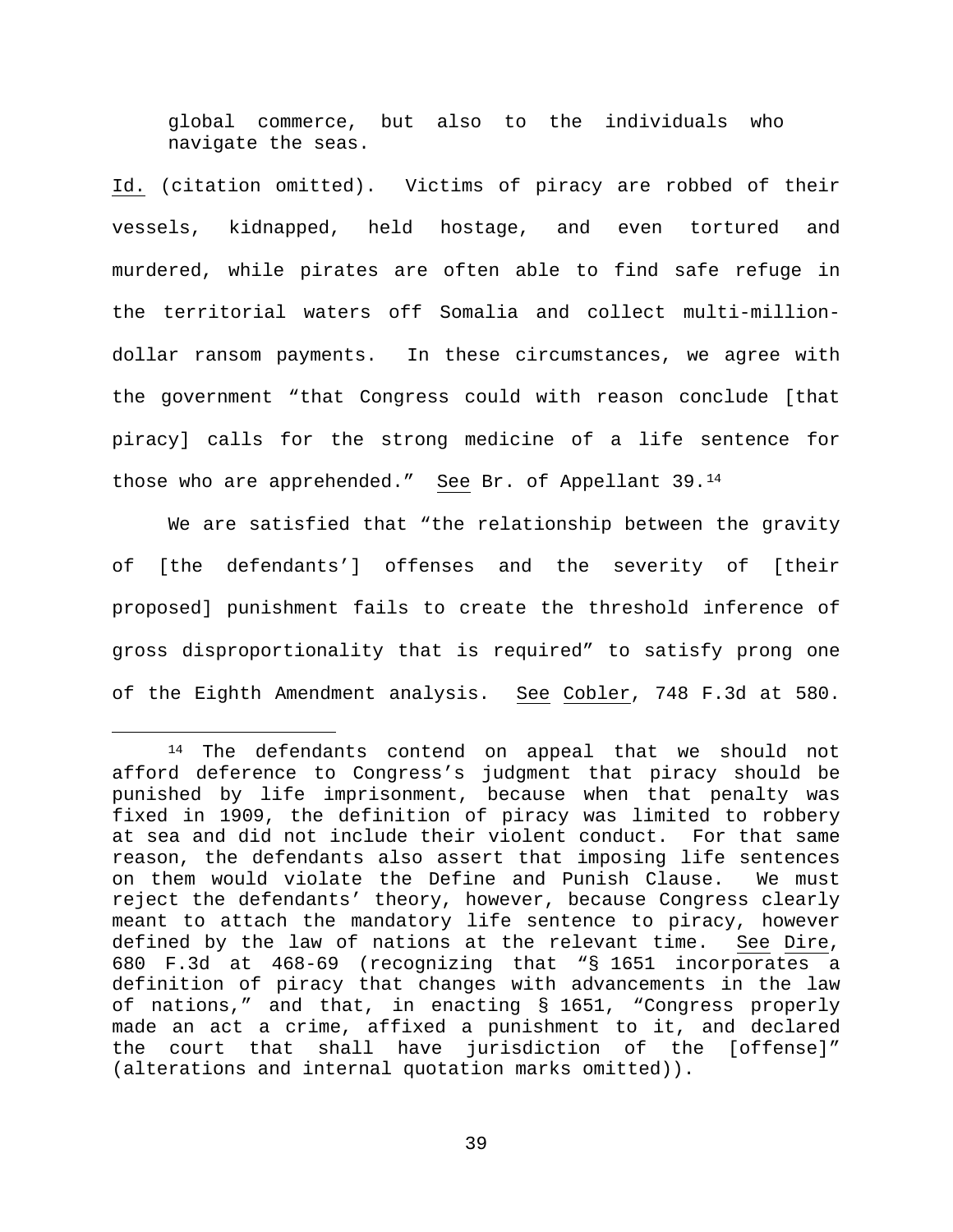global commerce, but also to the individuals who navigate the seas.

Id. (citation omitted). Victims of piracy are robbed of their vessels, kidnapped, held hostage, and even tortured and murdered, while pirates are often able to find safe refuge in the territorial waters off Somalia and collect multi-milliondollar ransom payments. In these circumstances, we agree with the government "that Congress could with reason conclude [that piracy] calls for the strong medicine of a life sentence for those who are apprehended." See Br. of Appellant 39.[14](#page-38-0)

We are satisfied that "the relationship between the gravity of [the defendants'] offenses and the severity of [their proposed] punishment fails to create the threshold inference of gross disproportionality that is required" to satisfy prong one of the Eighth Amendment analysis. See Cobler, 748 F.3d at 580.

<span id="page-38-0"></span> <sup>14</sup> The defendants contend on appeal that we should not afford deference to Congress's judgment that piracy should be punished by life imprisonment, because when that penalty was fixed in 1909, the definition of piracy was limited to robbery at sea and did not include their violent conduct. For that same reason, the defendants also assert that imposing life sentences on them would violate the Define and Punish Clause. We must reject the defendants' theory, however, because Congress clearly meant to attach the mandatory life sentence to piracy, however defined by the law of nations at the relevant time. See Dire, 680 F.3d at 468-69 (recognizing that "§ 1651 incorporates a definition of piracy that changes with advancements in the law of nations," and that, in enacting § 1651, "Congress properly made an act a crime, affixed a punishment to it, and declared the court that shall have jurisdiction of the [offense]" (alterations and internal quotation marks omitted)).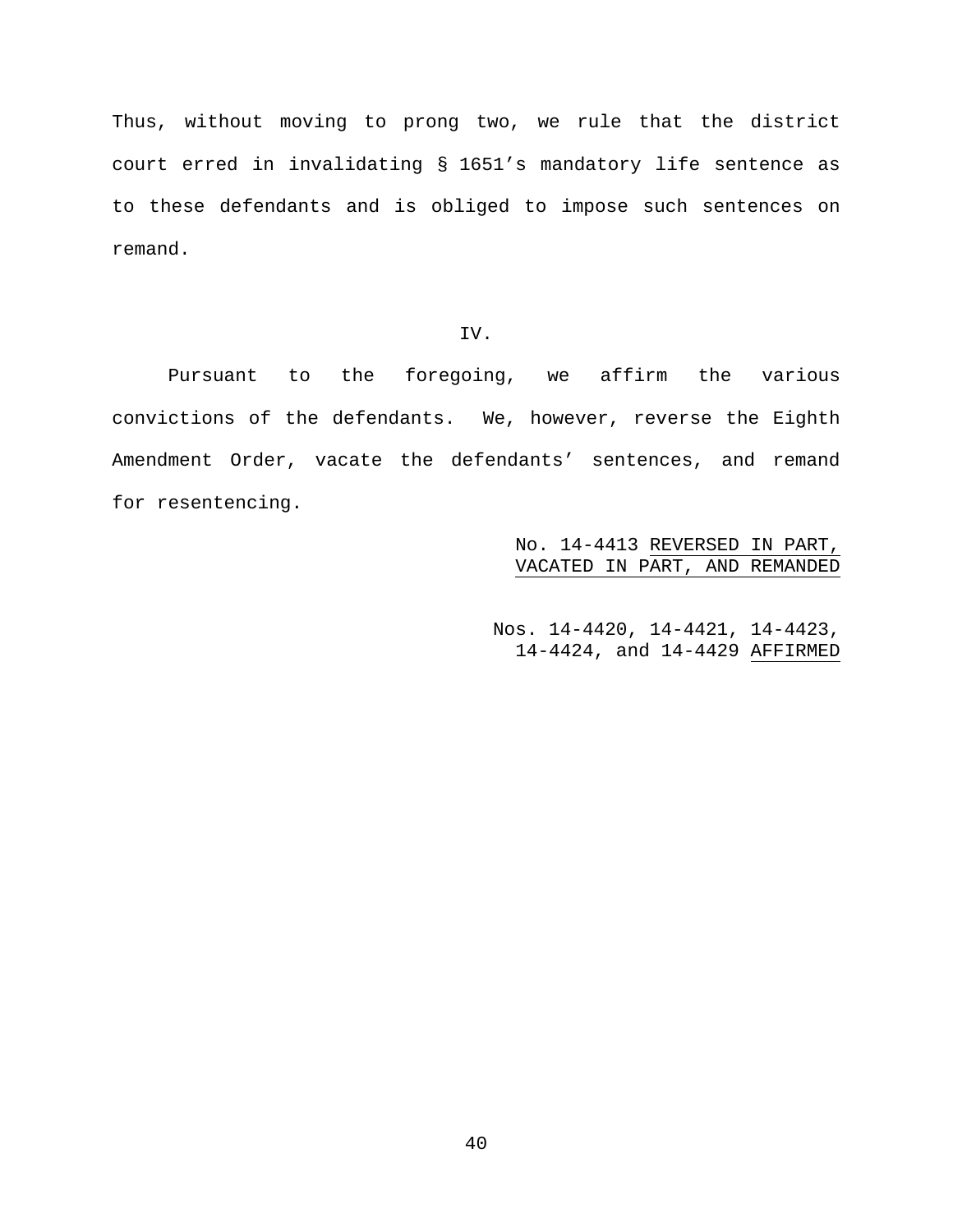Thus, without moving to prong two, we rule that the district court erred in invalidating § 1651's mandatory life sentence as to these defendants and is obliged to impose such sentences on remand.

# IV.

Pursuant to the foregoing, we affirm the various convictions of the defendants. We, however, reverse the Eighth Amendment Order, vacate the defendants' sentences, and remand for resentencing.

> No. 14-4413 REVERSED IN PART, VACATED IN PART, AND REMANDED

Nos. 14-4420, 14-4421, 14-4423, 14-4424, and 14-4429 AFFIRMED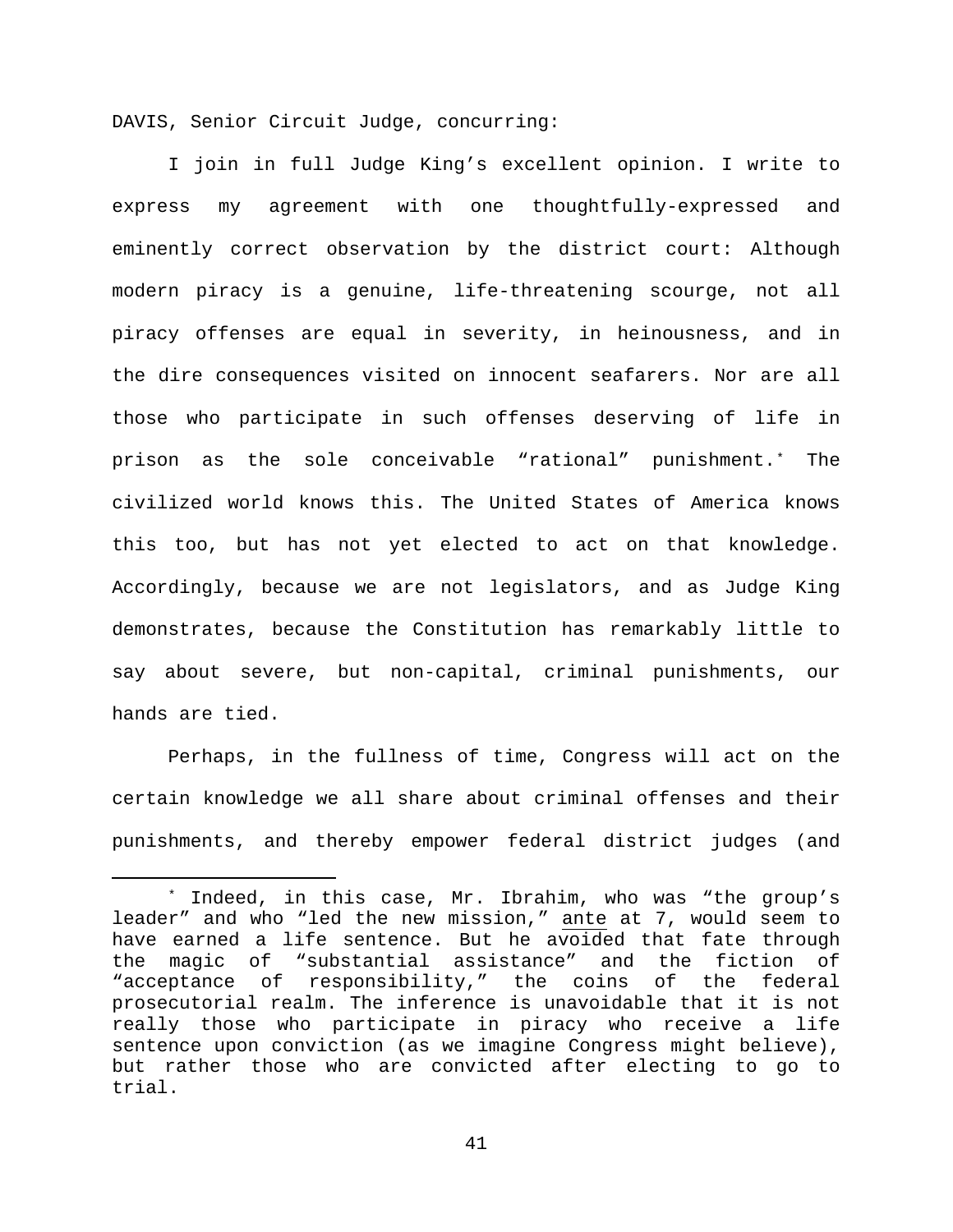DAVIS, Senior Circuit Judge, concurring:

I join in full Judge King's excellent opinion. I write to express my agreement with one thoughtfully-expressed and eminently correct observation by the district court: Although modern piracy is a genuine, life-threatening scourge, not all piracy offenses are equal in severity, in heinousness, and in the dire consequences visited on innocent seafarers. Nor are all those who participate in such offenses deserving of life in prison as the sole conceivable "rational" punishment.[\\*](#page-40-0) The civilized world knows this. The United States of America knows this too, but has not yet elected to act on that knowledge. Accordingly, because we are not legislators, and as Judge King demonstrates, because the Constitution has remarkably little to say about severe, but non-capital, criminal punishments, our hands are tied.

Perhaps, in the fullness of time, Congress will act on the certain knowledge we all share about criminal offenses and their punishments, and thereby empower federal district judges (and

<span id="page-40-0"></span> <sup>\*</sup> Indeed, in this case, Mr. Ibrahim, who was "the group's leader" and who "led the new mission," ante at 7, would seem to have earned a life sentence. But he avoided that fate through the magic of "substantial assistance" and the fiction of "acceptance of responsibility," the coins of the federal prosecutorial realm. The inference is unavoidable that it is not really those who participate in piracy who receive a life sentence upon conviction (as we imagine Congress might believe), but rather those who are convicted after electing to go to trial.